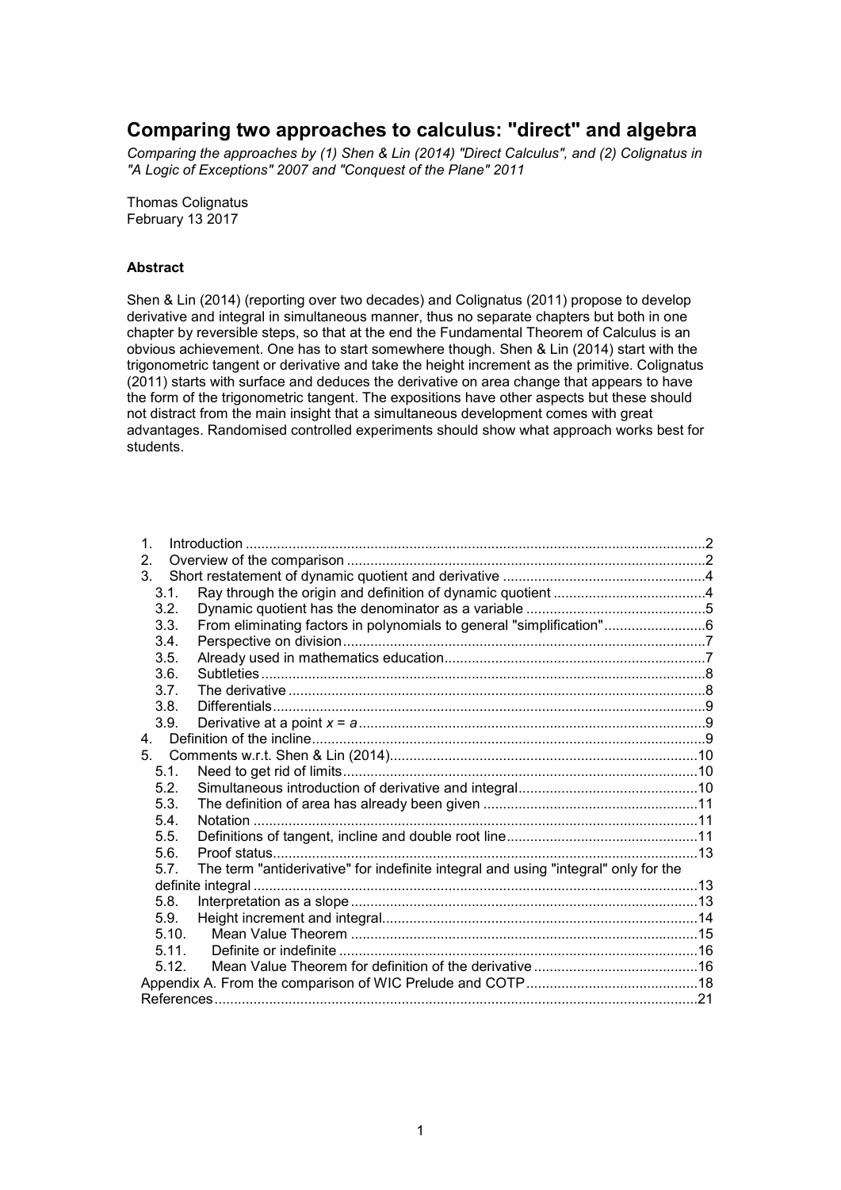# **Comparing two approaches to calculus: "direct" and algebra**

*Comparing the approaches by (1) Shen & Lin (2014) "Direct Calculus", and (2) Colignatus in "A Logic of Exceptions" 2007 and "Conquest of the Plane" 2011*

Thomas Colignatus February 13 2017

#### **Abstract**

Shen & Lin (2014) (reporting over two decades) and Colignatus (2011) propose to develop derivative and integral in simultaneous manner, thus no separate chapters but both in one chapter by reversible steps, so that at the end the Fundamental Theorem of Calculus is an obvious achievement. One has to start somewhere though. Shen & Lin (2014) start with the trigonometric tangent or derivative and take the height increment as the primitive. Colignatus (2011) starts with surface and deduces the derivative on area change that appears to have the form of the trigonometric tangent. The expositions have other aspects but these should not distract from the main insight that a simultaneous development comes with great advantages. Randomised controlled experiments should show what approach works best for students.

| $\mathbf 1$ .    |                                                                                     |  |
|------------------|-------------------------------------------------------------------------------------|--|
| 2.               |                                                                                     |  |
| 3.               |                                                                                     |  |
| 3.1.             |                                                                                     |  |
| 3.2.             |                                                                                     |  |
| 3.3.             | From eliminating factors in polynomials to general "simplification"6                |  |
| 3.4.             |                                                                                     |  |
| 3.5.             |                                                                                     |  |
| 3.6.             |                                                                                     |  |
| 3.7.             |                                                                                     |  |
| 3.8.             |                                                                                     |  |
| 3.9.             |                                                                                     |  |
| 4 <sub>1</sub>   |                                                                                     |  |
|                  |                                                                                     |  |
| 5.1.             |                                                                                     |  |
| 5.2 <sub>1</sub> |                                                                                     |  |
| 5.3.             |                                                                                     |  |
| 5.4.             |                                                                                     |  |
| 5.5.             |                                                                                     |  |
| 5.6.             |                                                                                     |  |
| 5.7              | The term "antiderivative" for indefinite integral and using "integral" only for the |  |
|                  |                                                                                     |  |
| 5.8.             |                                                                                     |  |
| 5.9.             |                                                                                     |  |
| 5.10.            |                                                                                     |  |
| 5.11.            |                                                                                     |  |
| 5.12.            |                                                                                     |  |
|                  |                                                                                     |  |
|                  |                                                                                     |  |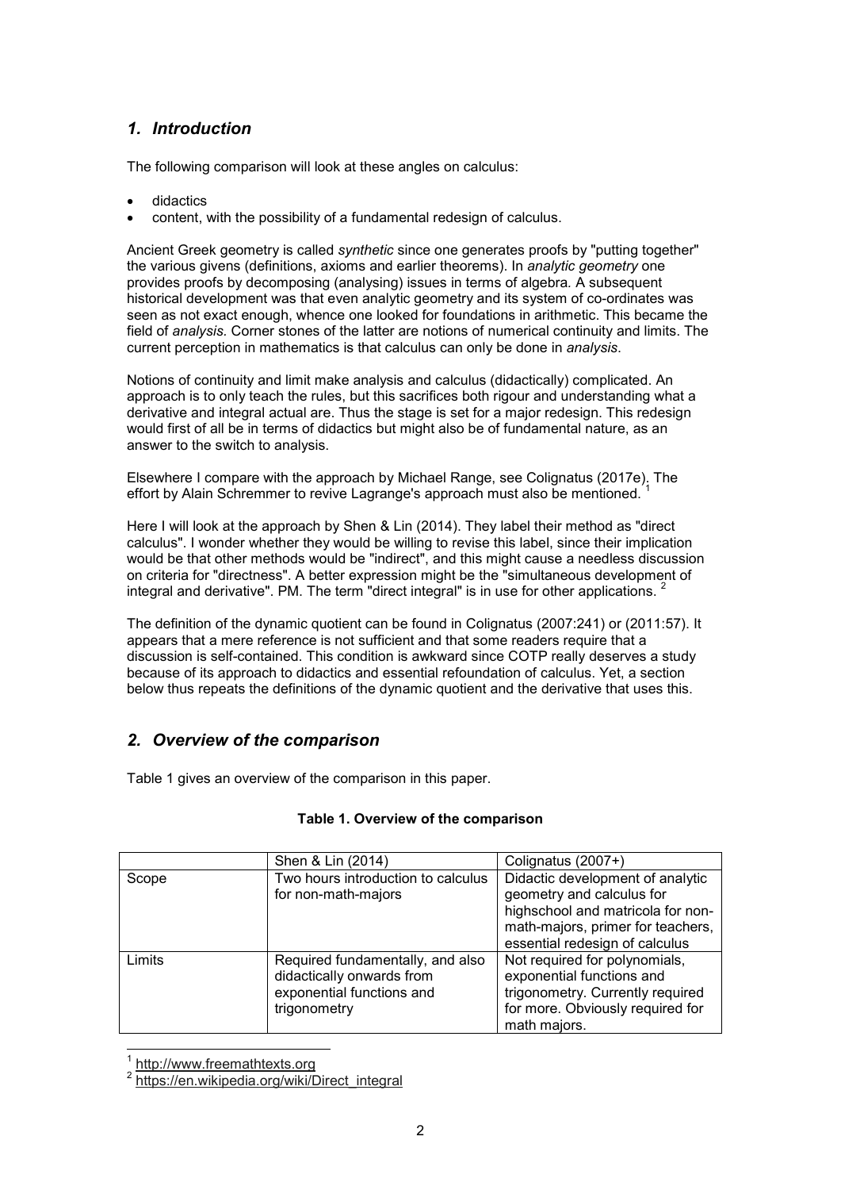# *1. Introduction*

The following comparison will look at these angles on calculus:

- didactics
- content, with the possibility of a fundamental redesign of calculus.

Ancient Greek geometry is called *synthetic* since one generates proofs by "putting together" the various givens (definitions, axioms and earlier theorems). In *analytic geometry* one provides proofs by decomposing (analysing) issues in terms of algebra*.* A subsequent historical development was that even analytic geometry and its system of co-ordinates was seen as not exact enough, whence one looked for foundations in arithmetic. This became the field of *analysis.* Corner stones of the latter are notions of numerical continuity and limits. The current perception in mathematics is that calculus can only be done in *analysis*.

Notions of continuity and limit make analysis and calculus (didactically) complicated. An approach is to only teach the rules, but this sacrifices both rigour and understanding what a derivative and integral actual are. Thus the stage is set for a major redesign. This redesign would first of all be in terms of didactics but might also be of fundamental nature, as an answer to the switch to analysis.

Elsewhere I compare with the approach by Michael Range, see Colignatus (2017e). The effort by Alain Schremmer to revive Lagrange's approach must also be mentioned. <sup>1</sup>

Here I will look at the approach by Shen & Lin (2014). They label their method as "direct calculus". I wonder whether they would be willing to revise this label, since their implication would be that other methods would be "indirect", and this might cause a needless discussion on criteria for "directness". A better expression might be the "simultaneous development of integral and derivative". PM. The term "direct integral" is in use for other applications.

The definition of the dynamic quotient can be found in Colignatus (2007:241) or (2011:57). It appears that a mere reference is not sufficient and that some readers require that a discussion is self-contained. This condition is awkward since COTP really deserves a study because of its approach to didactics and essential refoundation of calculus. Yet, a section below thus repeats the definitions of the dynamic quotient and the derivative that uses this.

# *2. Overview of the comparison*

Table 1 gives an overview of the comparison in this paper.

|        | Shen & Lin (2014)                                                                                          | Colignatus (2007+)                                                                                                                                                        |
|--------|------------------------------------------------------------------------------------------------------------|---------------------------------------------------------------------------------------------------------------------------------------------------------------------------|
| Scope  | Two hours introduction to calculus<br>for non-math-majors                                                  | Didactic development of analytic<br>geometry and calculus for<br>highschool and matricola for non-<br>math-majors, primer for teachers,<br>essential redesign of calculus |
| Limits | Required fundamentally, and also<br>didactically onwards from<br>exponential functions and<br>trigonometry | Not required for polynomials,<br>exponential functions and<br>trigonometry. Currently required<br>for more. Obviously required for<br>math majors.                        |

#### **Table 1. Overview of the comparison**

j 1 http://www.freemathtexts.org

<sup>&</sup>lt;sup>2</sup> https://en.wikipedia.org/wiki/Direct\_integral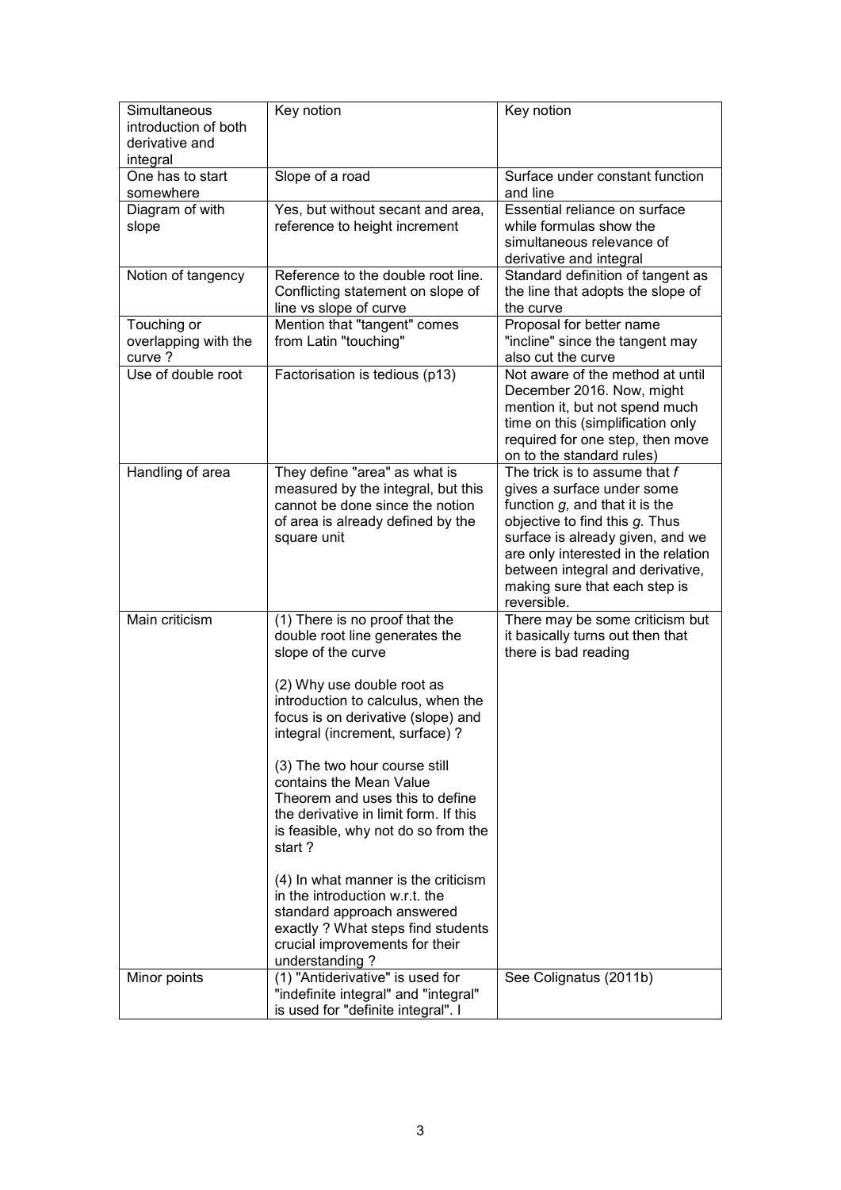| Simultaneous<br>introduction of both<br>derivative and<br>integral | Key notion                                                                                                                                                                                                                                                                                                                                                                                                                                                                                                                                                                                                                    | Key notion                                                                                                                                                                                                                                                                                        |  |
|--------------------------------------------------------------------|-------------------------------------------------------------------------------------------------------------------------------------------------------------------------------------------------------------------------------------------------------------------------------------------------------------------------------------------------------------------------------------------------------------------------------------------------------------------------------------------------------------------------------------------------------------------------------------------------------------------------------|---------------------------------------------------------------------------------------------------------------------------------------------------------------------------------------------------------------------------------------------------------------------------------------------------|--|
| One has to start<br>somewhere                                      | Slope of a road                                                                                                                                                                                                                                                                                                                                                                                                                                                                                                                                                                                                               | Surface under constant function<br>and line                                                                                                                                                                                                                                                       |  |
| Diagram of with<br>slope                                           | Yes, but without secant and area,<br>reference to height increment                                                                                                                                                                                                                                                                                                                                                                                                                                                                                                                                                            | Essential reliance on surface<br>while formulas show the<br>simultaneous relevance of<br>derivative and integral                                                                                                                                                                                  |  |
| Notion of tangency                                                 | Reference to the double root line.<br>Conflicting statement on slope of<br>line vs slope of curve                                                                                                                                                                                                                                                                                                                                                                                                                                                                                                                             | Standard definition of tangent as<br>the line that adopts the slope of<br>the curve                                                                                                                                                                                                               |  |
| Touching or<br>overlapping with the<br>curve ?                     | Mention that "tangent" comes<br>from Latin "touching"                                                                                                                                                                                                                                                                                                                                                                                                                                                                                                                                                                         | Proposal for better name<br>"incline" since the tangent may<br>also cut the curve                                                                                                                                                                                                                 |  |
| Use of double root                                                 | Factorisation is tedious (p13)                                                                                                                                                                                                                                                                                                                                                                                                                                                                                                                                                                                                | Not aware of the method at until<br>December 2016. Now, might<br>mention it, but not spend much<br>time on this (simplification only<br>required for one step, then move<br>on to the standard rules)                                                                                             |  |
| Handling of area                                                   | They define "area" as what is<br>measured by the integral, but this<br>cannot be done since the notion<br>of area is already defined by the<br>square unit                                                                                                                                                                                                                                                                                                                                                                                                                                                                    | The trick is to assume that f<br>gives a surface under some<br>function $g$ , and that it is the<br>objective to find this g. Thus<br>surface is already given, and we<br>are only interested in the relation<br>between integral and derivative,<br>making sure that each step is<br>reversible. |  |
| Main criticism                                                     | (1) There is no proof that the<br>double root line generates the<br>slope of the curve<br>(2) Why use double root as<br>introduction to calculus, when the<br>focus is on derivative (slope) and<br>integral (increment, surface) ?<br>(3) The two hour course still<br>contains the Mean Value<br>Theorem and uses this to define<br>the derivative in limit form. If this<br>is feasible, why not do so from the<br>start?<br>(4) In what manner is the criticism<br>in the introduction w.r.t. the<br>standard approach answered<br>exactly ? What steps find students<br>crucial improvements for their<br>understanding? | There may be some criticism but<br>it basically turns out then that<br>there is bad reading                                                                                                                                                                                                       |  |
| Minor points                                                       | (1) "Antiderivative" is used for<br>"indefinite integral" and "integral"<br>is used for "definite integral". I                                                                                                                                                                                                                                                                                                                                                                                                                                                                                                                | See Colignatus (2011b)                                                                                                                                                                                                                                                                            |  |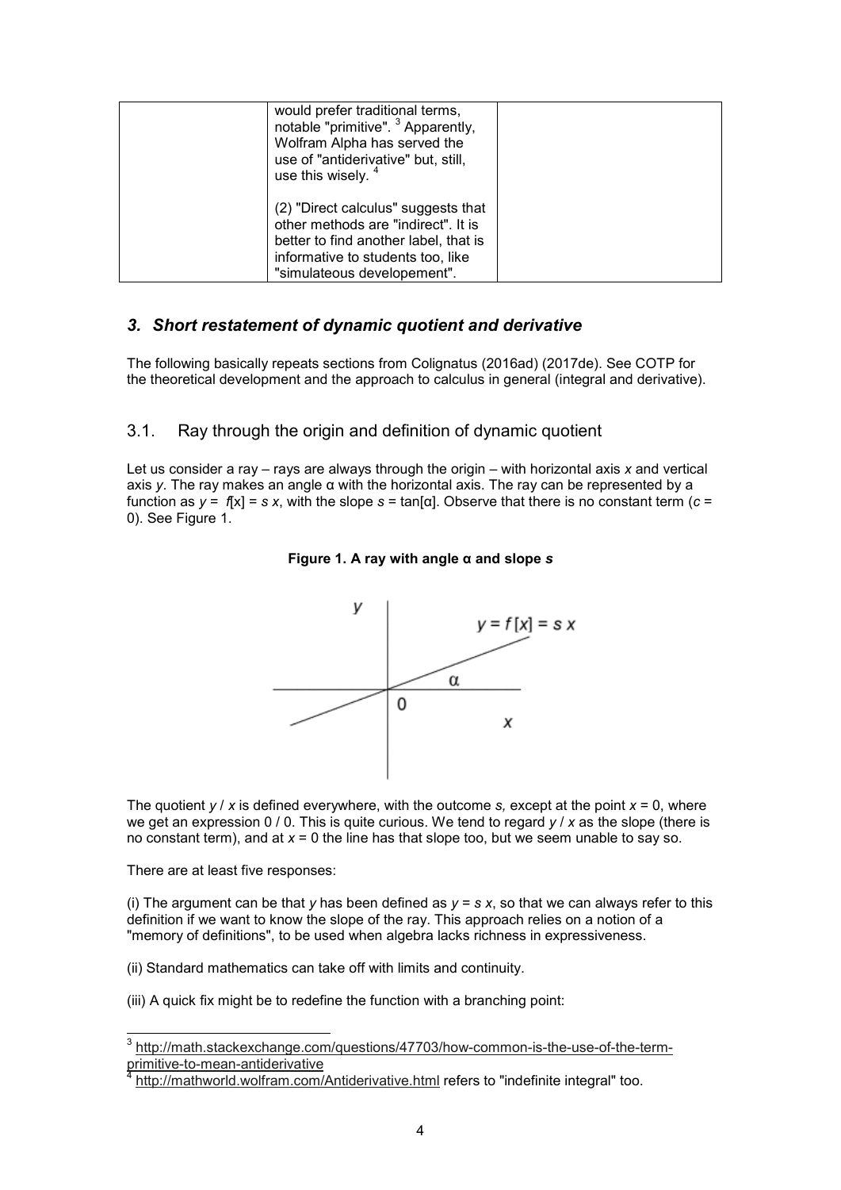| would prefer traditional terms,<br>notable "primitive". <sup>3</sup> Apparently,<br>Wolfram Alpha has served the<br>use of "antiderivative" but, still,<br>use this wisely. <sup>4</sup> |  |
|------------------------------------------------------------------------------------------------------------------------------------------------------------------------------------------|--|
| (2) "Direct calculus" suggests that<br>other methods are "indirect". It is<br>better to find another label, that is<br>informative to students too, like<br>"simulateous developement".  |  |

## *3. Short restatement of dynamic quotient and derivative*

The following basically repeats sections from Colignatus (2016ad) (2017de). See COTP for the theoretical development and the approach to calculus in general (integral and derivative).

# 3.1. Ray through the origin and definition of dynamic quotient

Let us consider a ray – rays are always through the origin – with horizontal axis *x* and vertical axis *y*. The ray makes an angle α with the horizontal axis. The ray can be represented by a function as  $y = f[x] = s x$ , with the slope  $s = \tan[\alpha]$ . Observe that there is no constant term ( $c =$ 0). See Figure 1.





The quotient  $y / x$  is defined everywhere, with the outcome *s*, except at the point  $x = 0$ , where we get an expression 0 / 0. This is quite curious. We tend to regard *y* / *x* as the slope (there is no constant term), and at *x* = 0 the line has that slope too, but we seem unable to say so.

There are at least five responses:

 $\overline{a}$ 

(i) The argument can be that *y* has been defined as  $y = s x$ , so that we can always refer to this definition if we want to know the slope of the ray. This approach relies on a notion of a "memory of definitions", to be used when algebra lacks richness in expressiveness.

(ii) Standard mathematics can take off with limits and continuity.

(iii) A quick fix might be to redefine the function with a branching point:

<sup>&</sup>lt;sup>3</sup> http://math.stackexchange.com/questions/47703/how-common-is-the-use-of-the-termprimitive-to-mean-antiderivative 4

http://mathworld.wolfram.com/Antiderivative.html refers to "indefinite integral" too.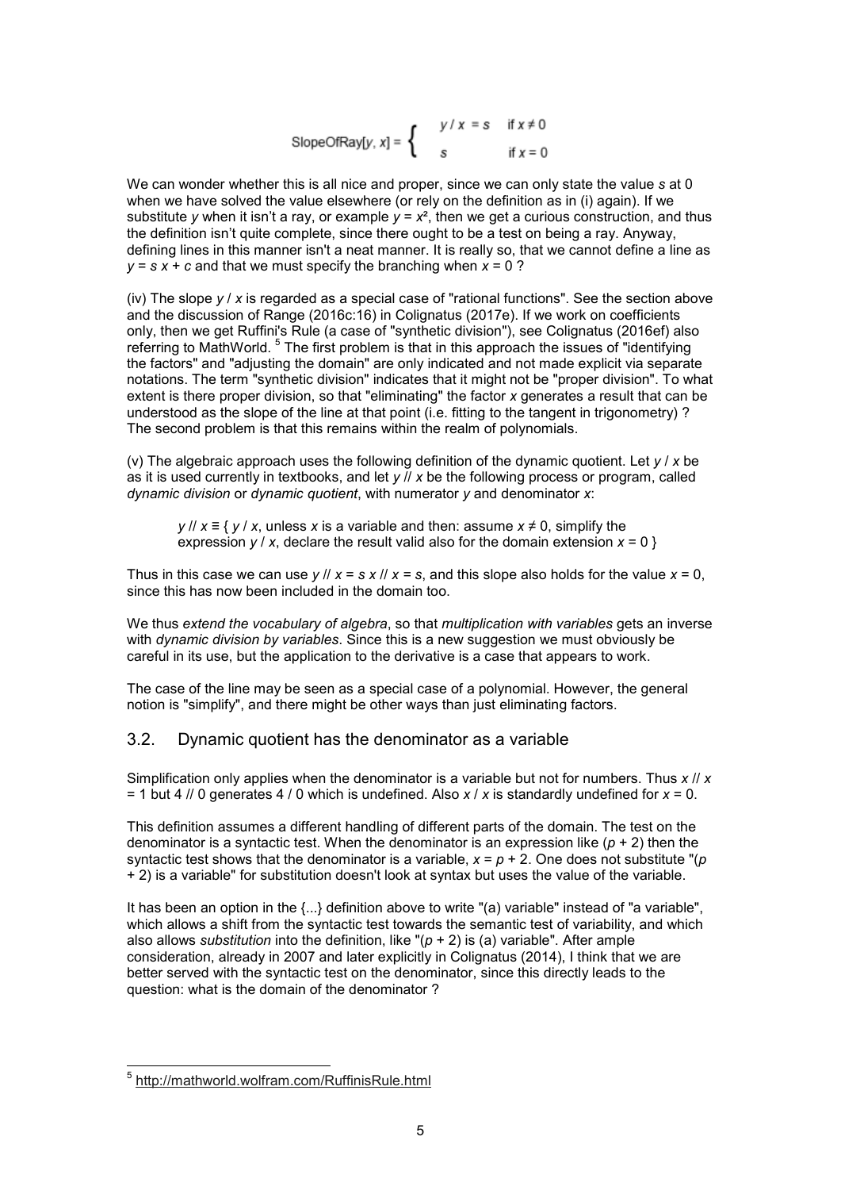SlopeOfRay[y, x] = 
$$
\begin{cases} y/x = s & \text{if } x \neq 0 \\ s & \text{if } x = 0 \end{cases}
$$

We can wonder whether this is all nice and proper, since we can only state the value *s* at 0 when we have solved the value elsewhere (or rely on the definition as in (i) again). If we substitute *y* when it isn't a ray, or example  $y = x^2$ , then we get a curious construction, and thus the definition isn't quite complete, since there ought to be a test on being a ray. Anyway, defining lines in this manner isn't a neat manner. It is really so, that we cannot define a line as *y* = *s x* + *c* and that we must specify the branching when *x* = 0 ?

(iv) The slope *y* / *x* is regarded as a special case of "rational functions". See the section above and the discussion of Range (2016c:16) in Colignatus (2017e). If we work on coefficients only, then we get Ruffini's Rule (a case of "synthetic division"), see Colignatus (2016ef) also referring to MathWorld. <sup>5</sup> The first problem is that in this approach the issues of "identifying the factors" and "adjusting the domain" are only indicated and not made explicit via separate notations. The term "synthetic division" indicates that it might not be "proper division". To what extent is there proper division, so that "eliminating" the factor *x* generates a result that can be understood as the slope of the line at that point (i.e. fitting to the tangent in trigonometry) ? The second problem is that this remains within the realm of polynomials.

(v) The algebraic approach uses the following definition of the dynamic quotient. Let *y* / *x* be as it is used currently in textbooks, and let *y* // *x* be the following process or program, called *dynamic division* or *dynamic quotient*, with numerator *y* and denominator *x*:

*y* // *x* ≡ { *y* / *x*, unless *x* is a variable and then: assume *x* ≠ 0, simplify the expression  $v / x$ , declare the result valid also for the domain extension  $x = 0$  }

Thus in this case we can use  $\frac{y}{x} = s \cdot x / x = s$ , and this slope also holds for the value  $x = 0$ , since this has now been included in the domain too.

We thus *extend the vocabulary of algebra*, so that *multiplication with variables* gets an inverse with *dynamic division by variables*. Since this is a new suggestion we must obviously be careful in its use, but the application to the derivative is a case that appears to work.

The case of the line may be seen as a special case of a polynomial. However, the general notion is "simplify", and there might be other ways than just eliminating factors.

#### 3.2. Dynamic quotient has the denominator as a variable

Simplification only applies when the denominator is a variable but not for numbers. Thus *x* // *x* = 1 but 4 // 0 generates 4 / 0 which is undefined. Also *x* / *x* is standardly undefined for *x* = 0.

This definition assumes a different handling of different parts of the domain. The test on the denominator is a syntactic test. When the denominator is an expression like (*p* + 2) then the syntactic test shows that the denominator is a variable,  $x = p + 2$ . One does not substitute " $(p)$ + 2) is a variable" for substitution doesn't look at syntax but uses the value of the variable.

It has been an option in the  $\{...\}$  definition above to write "(a) variable" instead of "a variable", which allows a shift from the syntactic test towards the semantic test of variability, and which also allows *substitution* into the definition, like "(*p* + 2) is (a) variable". After ample consideration, already in 2007 and later explicitly in Colignatus (2014), I think that we are better served with the syntactic test on the denominator, since this directly leads to the question: what is the domain of the denominator ?

<sup>&</sup>lt;u>。<br>5 http://mathworld.wolfram.com/RuffinisRule.html</u>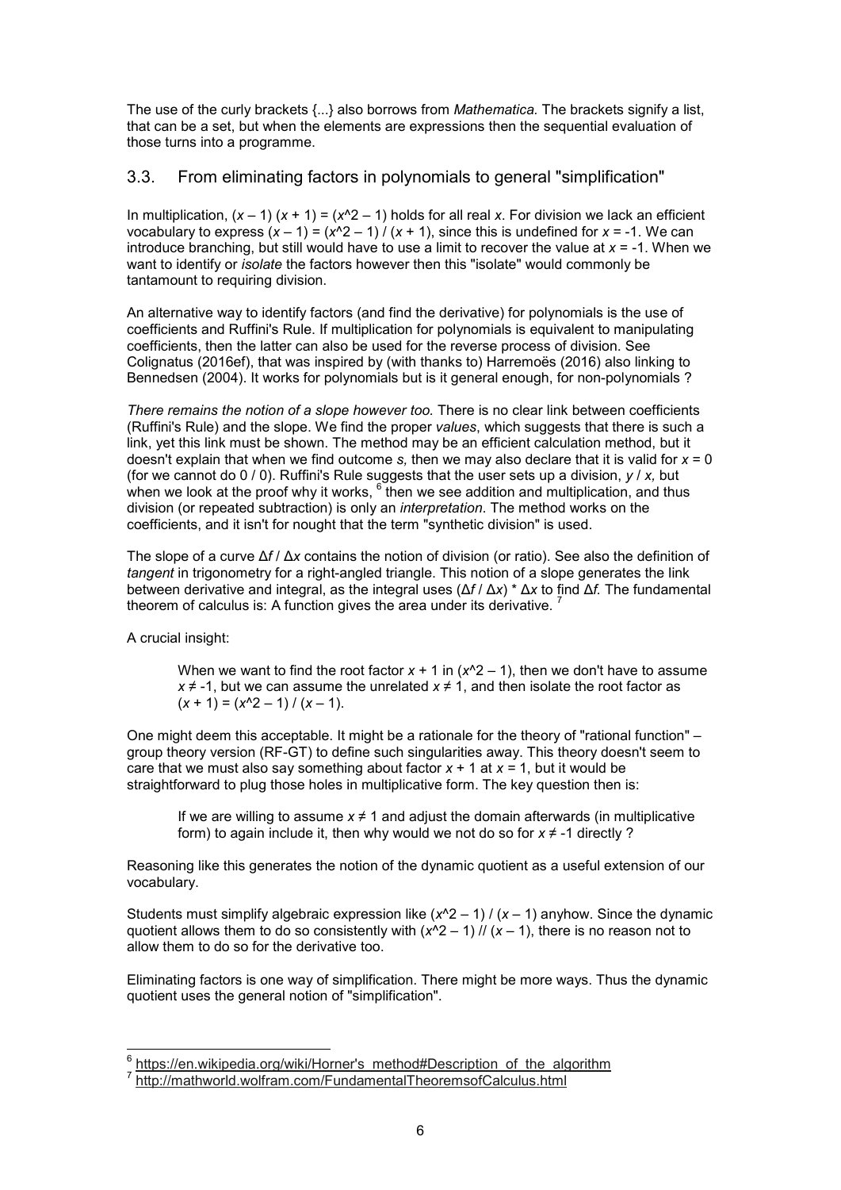The use of the curly brackets {...} also borrows from *Mathematica.* The brackets signify a list, that can be a set, but when the elements are expressions then the sequential evaluation of those turns into a programme.

#### 3.3. From eliminating factors in polynomials to general "simplification"

In multiplication,  $(x - 1) (x + 1) = (x^2 - 1)$  holds for all real *x*. For division we lack an efficient vocabulary to express  $(x - 1) = (x^2 - 1) / (x + 1)$ , since this is undefined for  $x = -1$ . We can introduce branching, but still would have to use a limit to recover the value at *x* = -1. When we want to identify or *isolate* the factors however then this "isolate" would commonly be tantamount to requiring division.

An alternative way to identify factors (and find the derivative) for polynomials is the use of coefficients and Ruffini's Rule. If multiplication for polynomials is equivalent to manipulating coefficients, then the latter can also be used for the reverse process of division. See Colignatus (2016ef), that was inspired by (with thanks to) Harremoës (2016) also linking to Bennedsen (2004). It works for polynomials but is it general enough, for non-polynomials ?

*There remains the notion of a slope however too.* There is no clear link between coefficients (Ruffini's Rule) and the slope. We find the proper *values*, which suggests that there is such a link, yet this link must be shown. The method may be an efficient calculation method, but it doesn't explain that when we find outcome *s,* then we may also declare that it is valid for *x* = 0 (for we cannot do 0 / 0). Ruffini's Rule suggests that the user sets up a division, *y* / *x,* but when we look at the proof why it works,  $^6$  then we see addition and multiplication, and thus division (or repeated subtraction) is only an *interpretation*. The method works on the coefficients, and it isn't for nought that the term "synthetic division" is used.

The slope of a curve Δ*f* / Δ*x* contains the notion of division (or ratio). See also the definition of tangent in trigonometry for a right-angled triangle. This notion of a slope generates the link between derivative and integral, as the integral uses (Δ*f* / Δ*x*) \* Δ*x* to find Δ*f.* The fundamental theorem of calculus is: A function gives the area under its derivative.

A crucial insight:

When we want to find the root factor  $x + 1$  in  $(x^2 - 1)$ , then we don't have to assume *x* ≠ -1, but we can assume the unrelated *x* ≠ 1, and then isolate the root factor as  $(x + 1) = (x^2 - 1) / (x - 1).$ 

One might deem this acceptable. It might be a rationale for the theory of "rational function" – group theory version (RF-GT) to define such singularities away. This theory doesn't seem to care that we must also say something about factor *x* + 1 at *x =* 1, but it would be straightforward to plug those holes in multiplicative form. The key question then is:

If we are willing to assume *x* ≠ 1 and adjust the domain afterwards (in multiplicative form) to again include it, then why would we not do so for  $x \neq -1$  directly ?

Reasoning like this generates the notion of the dynamic quotient as a useful extension of our vocabulary.

Students must simplify algebraic expression like  $(x^2 - 1) / (x - 1)$  anyhow. Since the dynamic quotient allows them to do so consistently with  $(x^2 - 1)$  //  $(x - 1)$ , there is no reason not to allow them to do so for the derivative too.

Eliminating factors is one way of simplification. There might be more ways. Thus the dynamic quotient uses the general notion of "simplification".

 6 https://en.wikipedia.org/wiki/Horner's\_method#Description\_of\_the\_algorithm

<sup>7</sup> http://mathworld.wolfram.com/FundamentalTheoremsofCalculus.html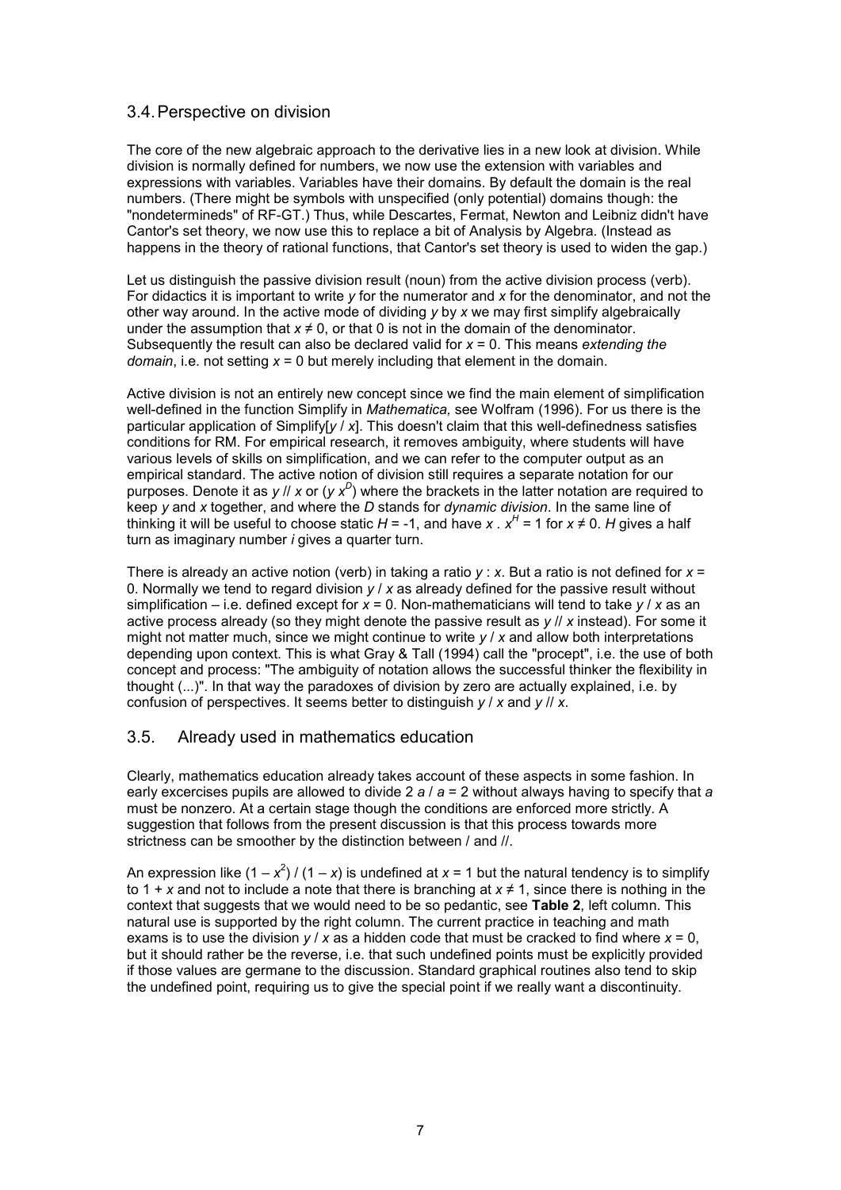## 3.4. Perspective on division

The core of the new algebraic approach to the derivative lies in a new look at division. While division is normally defined for numbers, we now use the extension with variables and expressions with variables. Variables have their domains. By default the domain is the real numbers. (There might be symbols with unspecified (only potential) domains though: the "nondetermineds" of RF-GT.) Thus, while Descartes, Fermat, Newton and Leibniz didn't have Cantor's set theory, we now use this to replace a bit of Analysis by Algebra. (Instead as happens in the theory of rational functions, that Cantor's set theory is used to widen the gap.)

Let us distinguish the passive division result (noun) from the active division process (verb). For didactics it is important to write *y* for the numerator and *x* for the denominator, and not the other way around. In the active mode of dividing *y* by *x* we may first simplify algebraically under the assumption that  $x \neq 0$ , or that 0 is not in the domain of the denominator. Subsequently the result can also be declared valid for *x* = 0. This means *extending the domain*, i.e. not setting *x* = 0 but merely including that element in the domain.

Active division is not an entirely new concept since we find the main element of simplification well-defined in the function Simplify in *Mathematica,* see Wolfram (1996). For us there is the particular application of Simplify[*y* / *x*]. This doesn't claim that this well-definedness satisfies conditions for RM. For empirical research, it removes ambiguity, where students will have various levels of skills on simplification, and we can refer to the computer output as an empirical standard. The active notion of division still requires a separate notation for our purposes. Denote it as *y* // *x* or (*y x<sup>D</sup>* ) where the brackets in the latter notation are required to keep *y* and *x* together, and where the *D* stands for *dynamic division*. In the same line of thinking it will be useful to choose static *H* = -1, and have *x* .  $x^H$  = 1 for  $x \ne 0$ . *H* gives a half turn as imaginary number *i* gives a quarter turn.

There is already an active notion (verb) in taking a ratio *y* : *x*. But a ratio is not defined for *x* = 0. Normally we tend to regard division *y* / *x* as already defined for the passive result without simplification – i.e. defined except for *x* = 0. Non-mathematicians will tend to take *y* / *x* as an active process already (so they might denote the passive result as *y* // *x* instead). For some it might not matter much, since we might continue to write *y* / *x* and allow both interpretations depending upon context. This is what Gray & Tall (1994) call the "procept", i.e. the use of both concept and process: "The ambiguity of notation allows the successful thinker the flexibility in thought (...)". In that way the paradoxes of division by zero are actually explained, i.e. by confusion of perspectives. It seems better to distinguish *y* / *x* and *y* // *x*.

# 3.5. Already used in mathematics education

Clearly, mathematics education already takes account of these aspects in some fashion. In early excercises pupils are allowed to divide 2 *a* / *a* = 2 without always having to specify that *a* must be nonzero. At a certain stage though the conditions are enforced more strictly. A suggestion that follows from the present discussion is that this process towards more strictness can be smoother by the distinction between / and //.

An expression like (1 –  $x^2$ ) / (1 – *x*) is undefined at *x* = 1 but the natural tendency is to simplify to 1 + *x* and not to include a note that there is branching at *x* ≠ 1, since there is nothing in the context that suggests that we would need to be so pedantic, see **Table 2**, left column. This natural use is supported by the right column. The current practice in teaching and math exams is to use the division  $y / x$  as a hidden code that must be cracked to find where  $x = 0$ , but it should rather be the reverse, i.e. that such undefined points must be explicitly provided if those values are germane to the discussion. Standard graphical routines also tend to skip the undefined point, requiring us to give the special point if we really want a discontinuity.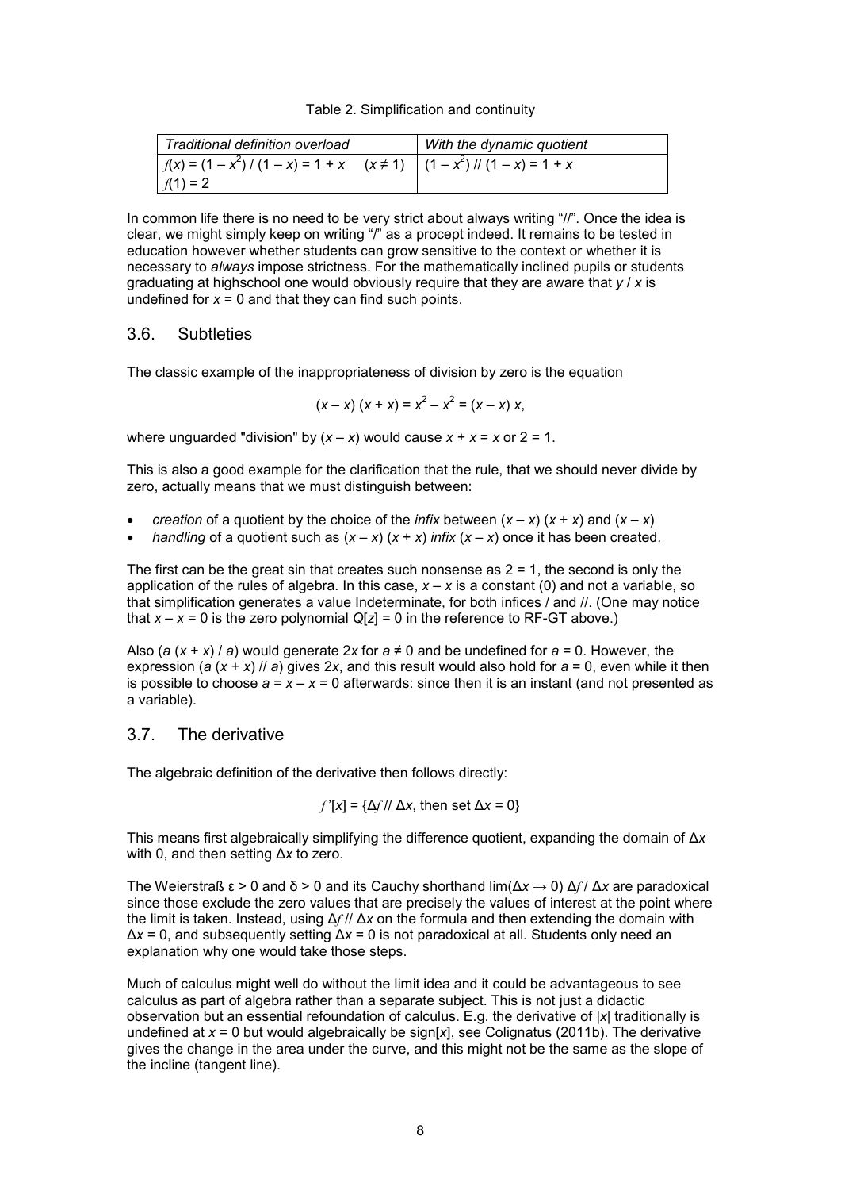|  | Table 2. Simplification and continuity |  |  |
|--|----------------------------------------|--|--|
|--|----------------------------------------|--|--|

| Traditional definition overload                                                        | With the dynamic quotient |
|----------------------------------------------------------------------------------------|---------------------------|
| $f(x) = (1 - x^2) / (1 - x) = 1 + x \quad (x \ne 1) \quad (1 - x^2) / (1 - x) = 1 + x$ |                           |
| $f(1) = 2$                                                                             |                           |

In common life there is no need to be very strict about always writing "//". Once the idea is clear, we might simply keep on writing "/" as a procept indeed. It remains to be tested in education however whether students can grow sensitive to the context or whether it is necessary to *always* impose strictness. For the mathematically inclined pupils or students graduating at highschool one would obviously require that they are aware that *y* / *x* is undefined for  $x = 0$  and that they can find such points.

#### 3.6. Subtleties

The classic example of the inappropriateness of division by zero is the equation

$$
(x-x)(x + x) = x2 - x2 = (x - x) x,
$$

where unguarded "division" by  $(x - x)$  would cause  $x + x = x$  or  $2 = 1$ .

This is also a good example for the clarification that the rule, that we should never divide by zero, actually means that we must distinguish between:

- *creation* of a quotient by the choice of the *infix* between  $(x x)(x + x)$  and  $(x x)$
- *handling* of a quotient such as  $(x x)$   $(x + x)$  *infix*  $(x x)$  once it has been created.

The first can be the great sin that creates such nonsense as  $2 = 1$ , the second is only the application of the rules of algebra. In this case,  $x - x$  is a constant (0) and not a variable, so that simplification generates a value Indeterminate, for both infices / and //. (One may notice that  $x - x = 0$  is the zero polynomial  $Q[z] = 0$  in the reference to RF-GT above.)

Also (*a* ( $x + x$ ) / *a*) would generate 2x for  $a \ne 0$  and be undefined for  $a = 0$ . However, the expression ( $a$  ( $x + x$ ) //  $a$ ) gives 2x, and this result would also hold for  $a = 0$ , even while it then is possible to choose  $a = x - x = 0$  afterwards: since then it is an instant (and not presented as a variable).

#### 3.7. The derivative

The algebraic definition of the derivative then follows directly:

$$
f'[x] = \{\Delta f / \Delta x, \text{ then set } \Delta x = 0\}
$$

This means first algebraically simplifying the difference quotient, expanding the domain of Δ*x* with 0, and then setting Δ*x* to zero.

The Weierstraß ε > 0 and δ > 0 and its Cauchy shorthand lim(Δ*x* → 0) Δ*f* / Δ*x* are paradoxical since those exclude the zero values that are precisely the values of interest at the point where the limit is taken. Instead, using Δ*f* // Δ*x* on the formula and then extending the domain with Δ*x* = 0, and subsequently setting Δ*x* = 0 is not paradoxical at all. Students only need an explanation why one would take those steps.

Much of calculus might well do without the limit idea and it could be advantageous to see calculus as part of algebra rather than a separate subject. This is not just a didactic observation but an essential refoundation of calculus. E.g. the derivative of |*x*| traditionally is undefined at *x* = 0 but would algebraically be sign[*x*], see Colignatus (2011b). The derivative gives the change in the area under the curve, and this might not be the same as the slope of the incline (tangent line).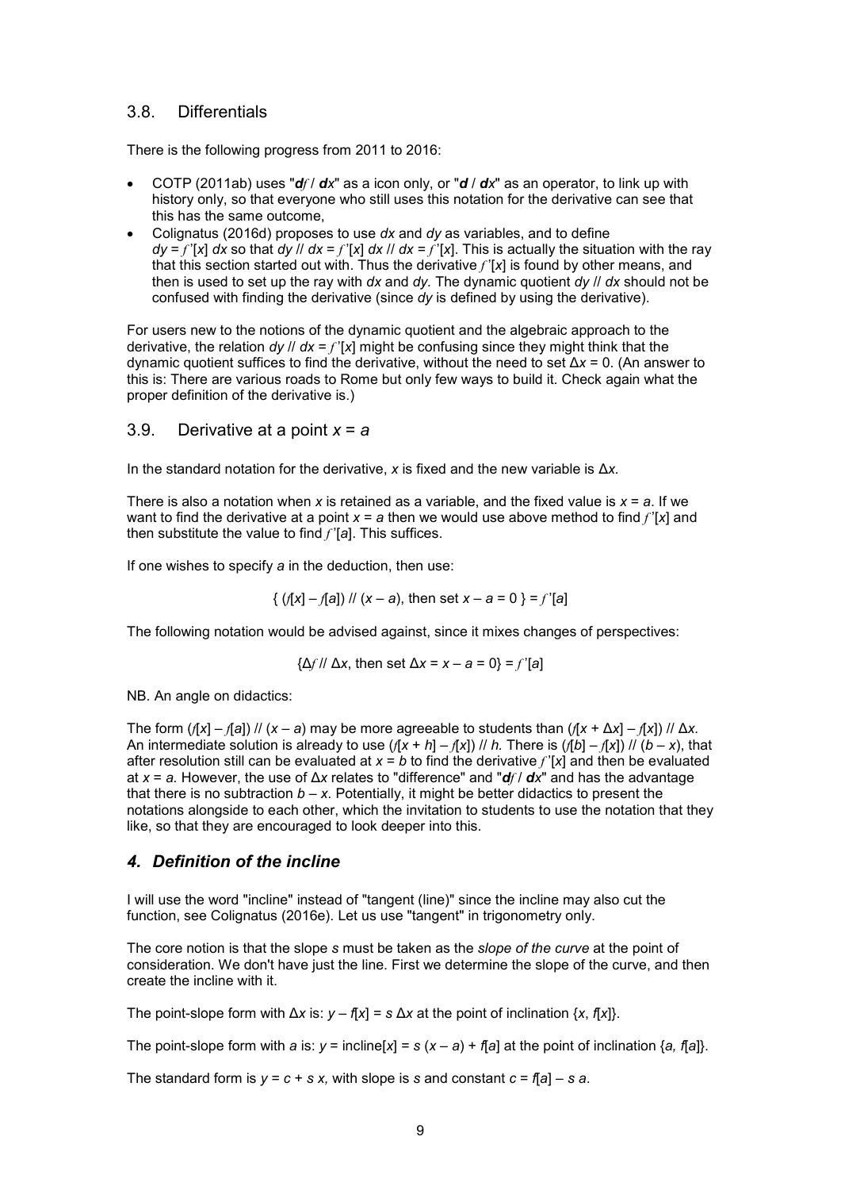#### 3.8. Differentials

There is the following progress from 2011 to 2016:

- COTP (2011ab) uses "*df* / *dx*" as a icon only, or "*d* / *dx*" as an operator, to link up with history only, so that everyone who still uses this notation for the derivative can see that this has the same outcome,
- Colignatus (2016d) proposes to use *dx* and *dy* as variables, and to define  $dy = f'[x]$  *dx* so that *dy || dx* = *f'*[*x*] *dx || dx* = *f'*[*x*]. This is actually the situation with the ray that this section started out with. Thus the derivative *f* '[*x*] is found by other means, and then is used to set up the ray with *dx* and *dy.* The dynamic quotient *dy* // *dx* should not be confused with finding the derivative (since *dy* is defined by using the derivative).

For users new to the notions of the dynamic quotient and the algebraic approach to the derivative, the relation *dy //*  $dx = f'[x]$  *might be confusing since they might think that the* dynamic quotient suffices to find the derivative, without the need to set Δ*x* = 0. (An answer to this is: There are various roads to Rome but only few ways to build it. Check again what the proper definition of the derivative is.)

## 3.9. Derivative at a point *x* = *a*

In the standard notation for the derivative, *x* is fixed and the new variable is Δ*x.*

There is also a notation when  $x$  is retained as a variable, and the fixed value is  $x = a$ . If we want to find the derivative at a point  $x = a$  then we would use above method to find  $f'[x]$  and then substitute the value to find *f* '[*a*]. This suffices.

If one wishes to specify *a* in the deduction, then use:

$$
\{ (f[x] - f[a]) \mid f(x - a), \text{ then set } x - a = 0 \} = f'[a]
$$

The following notation would be advised against, since it mixes changes of perspectives:

$$
\{\Delta f / \hbox{ and } \Delta x, \text{ then set } \Delta x = x - a = 0\} = f'[a]
$$

NB. An angle on didactics:

The form  $(f[x] - f[a])$  //  $(x - a)$  may be more agreeable to students than  $(f[x + \Delta x] - f[x])$  //  $\Delta x$ . An intermediate solution is already to use  $(f[x + h] - f[x])$  // *h*. There is  $(f[b] - f[x])$  //  $(b - x)$ , that after resolution still can be evaluated at *x* = *b* to find the derivative *f* '[*x*] and then be evaluated at *x* = *a.* However, the use of Δ*x* relates to "difference" and "*df* / *dx*" and has the advantage that there is no subtraction  $b - x$ . Potentially, it might be better didactics to present the notations alongside to each other, which the invitation to students to use the notation that they like, so that they are encouraged to look deeper into this.

#### *4. Definition of the incline*

I will use the word "incline" instead of "tangent (line)" since the incline may also cut the function, see Colignatus (2016e). Let us use "tangent" in trigonometry only.

The core notion is that the slope *s* must be taken as the *slope of the curve* at the point of consideration. We don't have just the line. First we determine the slope of the curve, and then create the incline with it.

The point-slope form with  $\Delta x$  is:  $y - f(x) = s \Delta x$  at the point of inclination  $\{x, f(x)\}$ .

The point-slope form with *a* is:  $y = \text{include}[x] = s(x - a) + f[a]$  at the point of inclination {*a*, f[*a*]}.

The standard form is  $v = c + s x$ , with slope is s and constant  $c = f[a] - s a$ .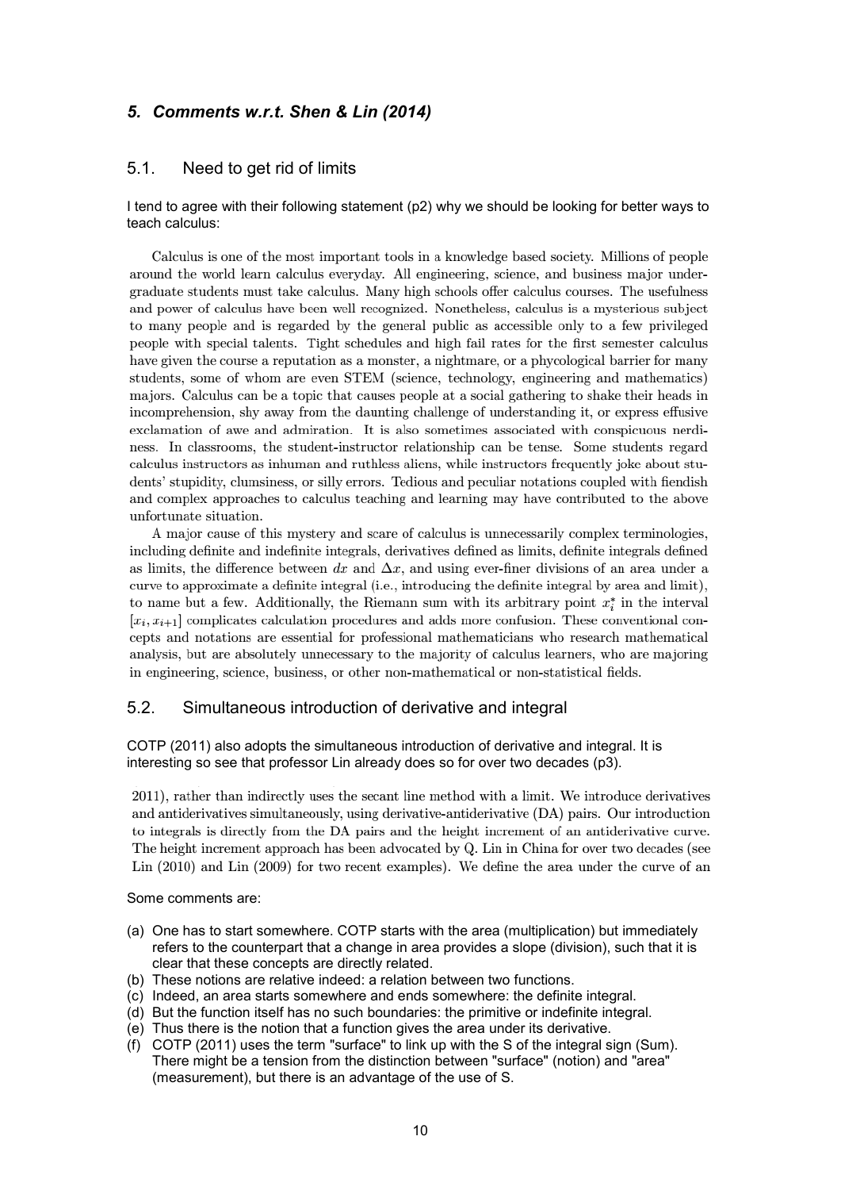## *5. Comments w.r.t. Shen & Lin (2014)*

#### 5.1. Need to get rid of limits

#### I tend to agree with their following statement (p2) why we should be looking for better ways to teach calculus:

Calculus is one of the most important tools in a knowledge based society. Millions of people around the world learn calculus everyday. All engineering, science, and business major undergraduate students must take calculus. Many high schools offer calculus courses. The usefulness and power of calculus have been well recognized. Nonetheless, calculus is a mysterious subject to many people and is regarded by the general public as accessible only to a few privileged people with special talents. Tight schedules and high fail rates for the first semester calculus have given the course a reputation as a monster, a nightmare, or a phycological barrier for many students, some of whom are even STEM (science, technology, engineering and mathematics) majors. Calculus can be a topic that causes people at a social gathering to shake their heads in incomprehension, shy away from the daunting challenge of understanding it, or express effusive exclamation of awe and admiration. It is also sometimes associated with conspicuous nerdiness. In classrooms, the student-instructor relationship can be tense. Some students regard calculus instructors as inhuman and ruthless aliens, while instructors frequently joke about students' stupidity, clumsiness, or silly errors. Tedious and peculiar notations coupled with fiendish and complex approaches to calculus teaching and learning may have contributed to the above unfortunate situation.

A major cause of this mystery and scare of calculus is unnecessarily complex terminologies, including definite and indefinite integrals, derivatives defined as limits, definite integrals defined as limits, the difference between dx and  $\Delta x$ , and using ever-finer divisions of an area under a curve to approximate a definite integral (i.e., introducing the definite integral by area and limit), to name but a few. Additionally, the Riemann sum with its arbitrary point  $x_i^*$  in the interval  $[x_i, x_{i+1}]$  complicates calculation procedures and adds more confusion. These conventional concepts and notations are essential for professional mathematicians who research mathematical analysis, but are absolutely unnecessary to the majority of calculus learners, who are majoring in engineering, science, business, or other non-mathematical or non-statistical fields.

#### 5.2. Simultaneous introduction of derivative and integral

#### COTP (2011) also adopts the simultaneous introduction of derivative and integral. It is interesting so see that professor Lin already does so for over two decades (p3).

2011), rather than indirectly uses the secant line method with a limit. We introduce derivatives and antiderivatives simultaneously, using derivative-antiderivative (DA) pairs. Our introduction to integrals is directly from the DA pairs and the height increment of an antiderivative curve. The height increment approach has been advocated by Q. Lin in China for over two decades (see Lin (2010) and Lin (2009) for two recent examples). We define the area under the curve of an

Some comments are:

- (a) One has to start somewhere. COTP starts with the area (multiplication) but immediately refers to the counterpart that a change in area provides a slope (division), such that it is clear that these concepts are directly related.
- (b) These notions are relative indeed: a relation between two functions.
- (c) Indeed, an area starts somewhere and ends somewhere: the definite integral.
- (d) But the function itself has no such boundaries: the primitive or indefinite integral.
- (e) Thus there is the notion that a function gives the area under its derivative.
- (f) COTP (2011) uses the term "surface" to link up with the S of the integral sign (Sum). There might be a tension from the distinction between "surface" (notion) and "area" (measurement), but there is an advantage of the use of S.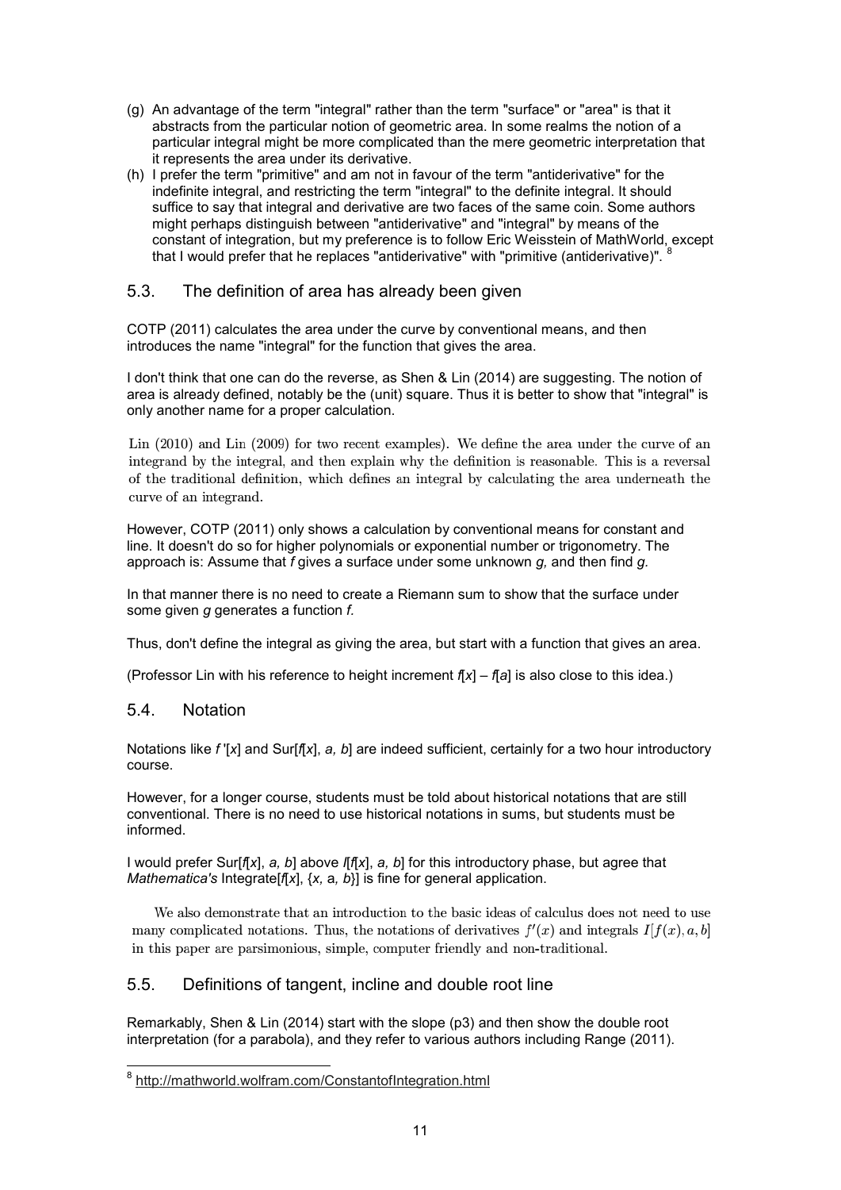- (g) An advantage of the term "integral" rather than the term "surface" or "area" is that it abstracts from the particular notion of geometric area. In some realms the notion of a particular integral might be more complicated than the mere geometric interpretation that it represents the area under its derivative.
- (h) I prefer the term "primitive" and am not in favour of the term "antiderivative" for the indefinite integral, and restricting the term "integral" to the definite integral. It should suffice to say that integral and derivative are two faces of the same coin. Some authors might perhaps distinguish between "antiderivative" and "integral" by means of the constant of integration, but my preference is to follow Eric Weisstein of MathWorld, except that I would prefer that he replaces "antiderivative" with "primitive (antiderivative)".

## 5.3. The definition of area has already been given

COTP (2011) calculates the area under the curve by conventional means, and then introduces the name "integral" for the function that gives the area.

I don't think that one can do the reverse, as Shen & Lin (2014) are suggesting. The notion of area is already defined, notably be the (unit) square. Thus it is better to show that "integral" is only another name for a proper calculation.

 $\text{Lin}$  (2010) and  $\text{Lin}$  (2009) for two recent examples). We define the area under the curve of an integrand by the integral, and then explain why the definition is reasonable. This is a reversal of the traditional definition, which defines an integral by calculating the area underneath the curve of an integrand.

However, COTP (2011) only shows a calculation by conventional means for constant and line. It doesn't do so for higher polynomials or exponential number or trigonometry. The approach is: Assume that *f* gives a surface under some unknown *g,* and then find *g.*

In that manner there is no need to create a Riemann sum to show that the surface under some given *g* generates a function *f.*

Thus, don't define the integral as giving the area, but start with a function that gives an area.

(Professor Lin with his reference to height increment *f*[*x*] – *f*[*a*] is also close to this idea.)

#### 5.4. Notation

Notations like *f* '[*x*] and Sur[*f*[*x*], *a, b*] are indeed sufficient, certainly for a two hour introductory course.

However, for a longer course, students must be told about historical notations that are still conventional. There is no need to use historical notations in sums, but students must be informed.

I would prefer Sur[*f*[*x*], *a, b*] above *I*[*f*[*x*], *a, b*] for this introductory phase, but agree that *Mathematica's* Integrate[*f*[*x*], {*x,* a*, b*}] is fine for general application.

We also demonstrate that an introduction to the basic ideas of calculus does not need to use many complicated notations. Thus, the notations of derivatives  $f'(x)$  and integrals  $I[f(x), a, b]$ in this paper are parsimonious, simple, computer friendly and non-traditional.

## 5.5. Definitions of tangent, incline and double root line

Remarkably, Shen & Lin (2014) start with the slope (p3) and then show the double root interpretation (for a parabola), and they refer to various authors including Range (2011).

 8 http://mathworld.wolfram.com/ConstantofIntegration.html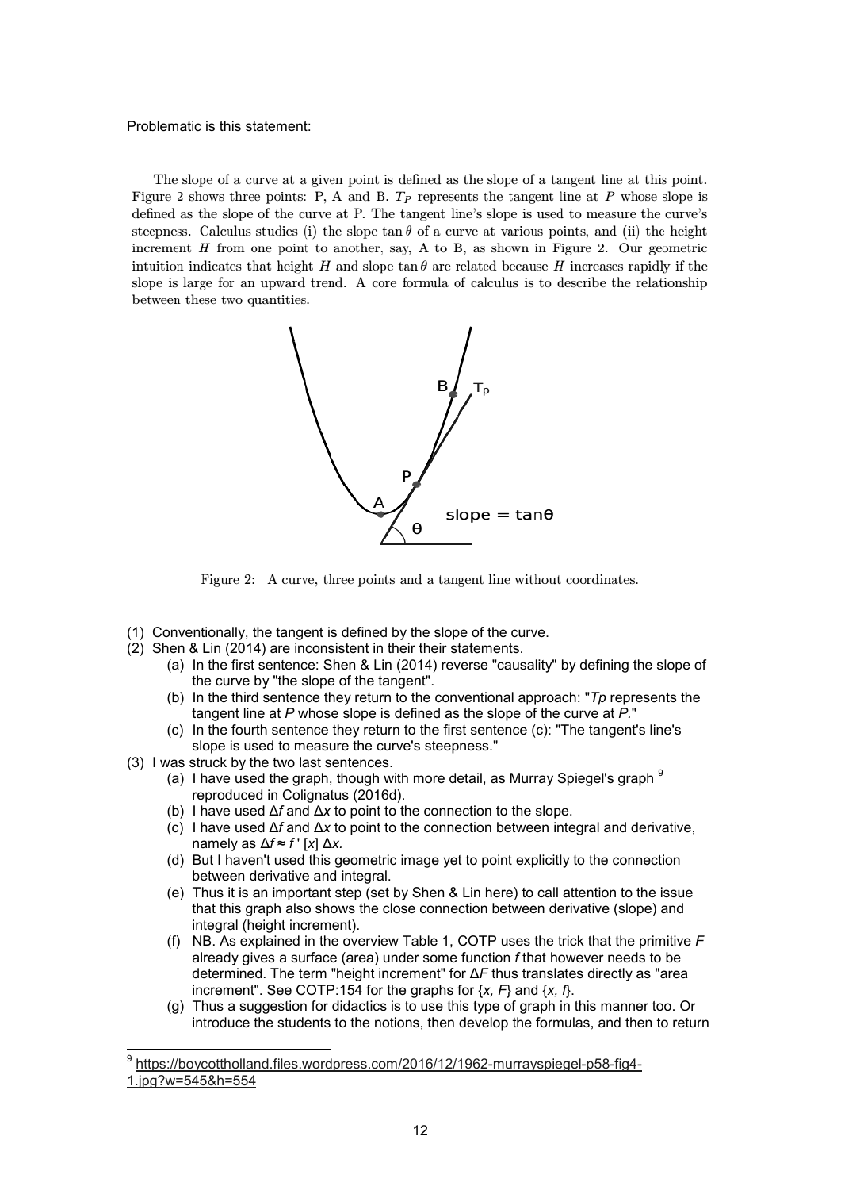#### Problematic is this statement:

The slope of a curve at a given point is defined as the slope of a tangent line at this point. Figure 2 shows three points: P, A and B.  $T_P$  represents the tangent line at P whose slope is defined as the slope of the curve at P. The tangent line's slope is used to measure the curve's steepness. Calculus studies (i) the slope  $\tan \theta$  of a curve at various points, and (ii) the height increment  $H$  from one point to another, say, A to B, as shown in Figure 2. Our geometric intuition indicates that height H and slope  $\tan \theta$  are related because H increases rapidly if the slope is large for an upward trend. A core formula of calculus is to describe the relationship between these two quantities.



Figure 2: A curve, three points and a tangent line without coordinates.

- (1) Conventionally, the tangent is defined by the slope of the curve.
- (2) Shen & Lin (2014) are inconsistent in their their statements.
	- (a) In the first sentence: Shen & Lin (2014) reverse "causality" by defining the slope of the curve by "the slope of the tangent".
	- (b) In the third sentence they return to the conventional approach: "*Tp* represents the tangent line at *P* whose slope is defined as the slope of the curve at *P.*"
	- (c) In the fourth sentence they return to the first sentence (c): "The tangent's line's slope is used to measure the curve's steepness."
- (3) I was struck by the two last sentences.
	- (a) I have used the graph, though with more detail, as Murray Spiegel's graph  $9$ reproduced in Colignatus (2016d).
	- (b) I have used Δ*f* and Δ*x* to point to the connection to the slope.
	- (c) I have used Δ*f* and Δ*x* to point to the connection between integral and derivative, namely as  $\Delta f \approx f'$  [*x*]  $\Delta x$ .
	- (d) But I haven't used this geometric image yet to point explicitly to the connection between derivative and integral.
	- (e) Thus it is an important step (set by Shen & Lin here) to call attention to the issue that this graph also shows the close connection between derivative (slope) and integral (height increment).
	- (f) NB. As explained in the overview Table 1, COTP uses the trick that the primitive *F* already gives a surface (area) under some function *f* that however needs to be determined. The term "height increment" for Δ*F* thus translates directly as "area increment". See COTP:154 for the graphs for {*x, F*} and {*x, f*}.
	- (g) Thus a suggestion for didactics is to use this type of graph in this manner too. Or introduce the students to the notions, then develop the formulas, and then to return

 9 https://boycottholland.files.wordpress.com/2016/12/1962-murrayspiegel-p58-fig4- 1.jpg?w=545&h=554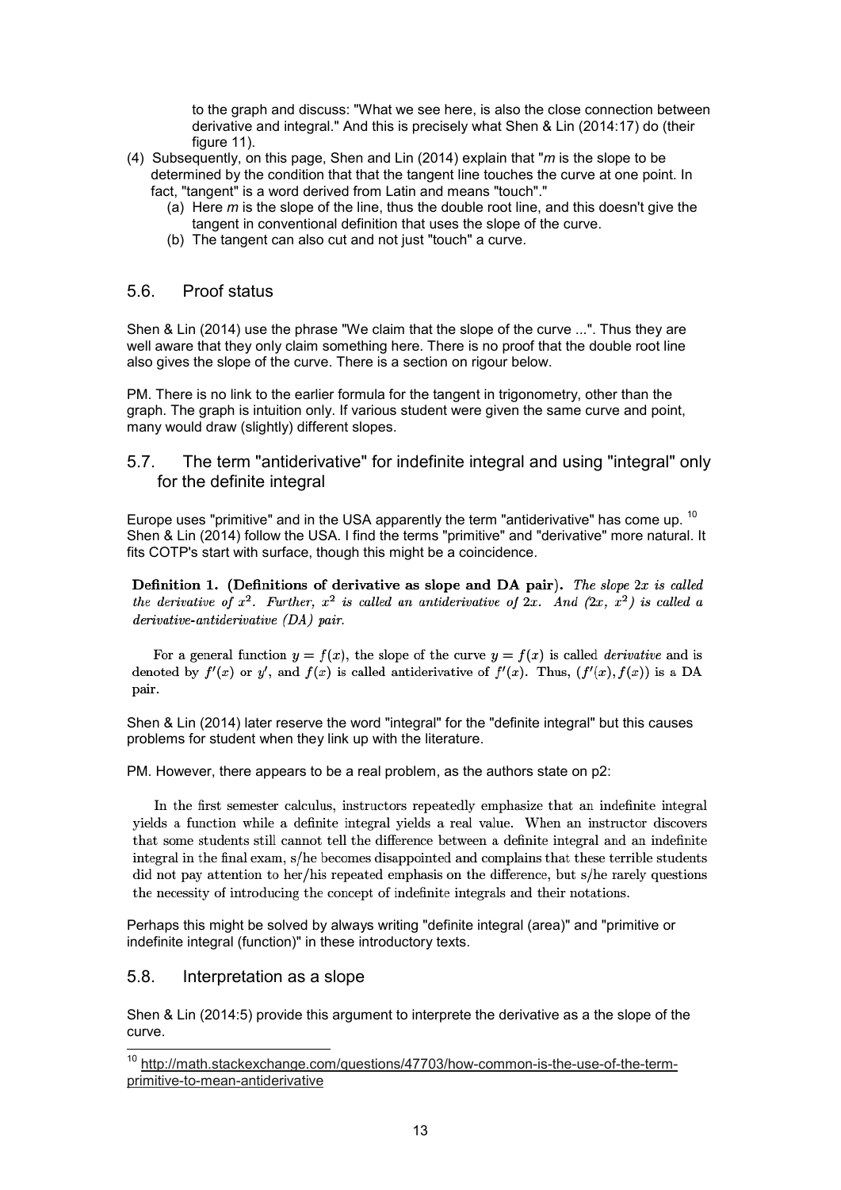to the graph and discuss: "What we see here, is also the close connection between derivative and integral." And this is precisely what Shen & Lin (2014:17) do (their figure 11).

- (4) Subsequently, on this page, Shen and Lin (2014) explain that "*m* is the slope to be determined by the condition that that the tangent line touches the curve at one point. In fact, "tangent" is a word derived from Latin and means "touch"."
	- (a) Here *m* is the slope of the line, thus the double root line, and this doesn't give the tangent in conventional definition that uses the slope of the curve.
	- (b) The tangent can also cut and not just "touch" a curve.

#### 5.6. Proof status

Shen & Lin (2014) use the phrase "We claim that the slope of the curve ...". Thus they are well aware that they only claim something here. There is no proof that the double root line also gives the slope of the curve. There is a section on rigour below.

PM. There is no link to the earlier formula for the tangent in trigonometry, other than the graph. The graph is intuition only. If various student were given the same curve and point, many would draw (slightly) different slopes.

## 5.7. The term "antiderivative" for indefinite integral and using "integral" only for the definite integral

Europe uses "primitive" and in the USA apparently the term "antiderivative" has come up. <sup>10</sup> Shen & Lin (2014) follow the USA. I find the terms "primitive" and "derivative" more natural. It fits COTP's start with surface, though this might be a coincidence.

Definition 1. (Definitions of derivative as slope and DA pair). The slope  $2x$  is called the derivative of  $x^2$ . Further,  $x^2$  is called an antiderivative of  $2x$ . And  $(2x, x^2)$  is called a derivative-antiderivative (DA) pair.

For a general function  $y = f(x)$ , the slope of the curve  $y = f(x)$  is called *derivative* and is denoted by  $f'(x)$  or y', and  $f(x)$  is called antiderivative of  $f'(x)$ . Thus,  $(f'(x), f(x))$  is a DA pair.

Shen & Lin (2014) later reserve the word "integral" for the "definite integral" but this causes problems for student when they link up with the literature.

PM. However, there appears to be a real problem, as the authors state on p2:

In the first semester calculus, instructors repeatedly emphasize that an indefinite integral yields a function while a definite integral yields a real value. When an instructor discovers that some students still cannot tell the difference between a definite integral and an indefinite integral in the final exam, s/he becomes disappointed and complains that these terrible students did not pay attention to her/his repeated emphasis on the difference, but s/he rarely questions the necessity of introducing the concept of indefinite integrals and their notations.

Perhaps this might be solved by always writing "definite integral (area)" and "primitive or indefinite integral (function)" in these introductory texts.

## 5.8. Interpretation as a slope

j

Shen & Lin (2014:5) provide this argument to interprete the derivative as a the slope of the curve.

<sup>&</sup>lt;sup>10</sup> http://math.stackexchange.com/questions/47703/how-common-is-the-use-of-the-termprimitive-to-mean-antiderivative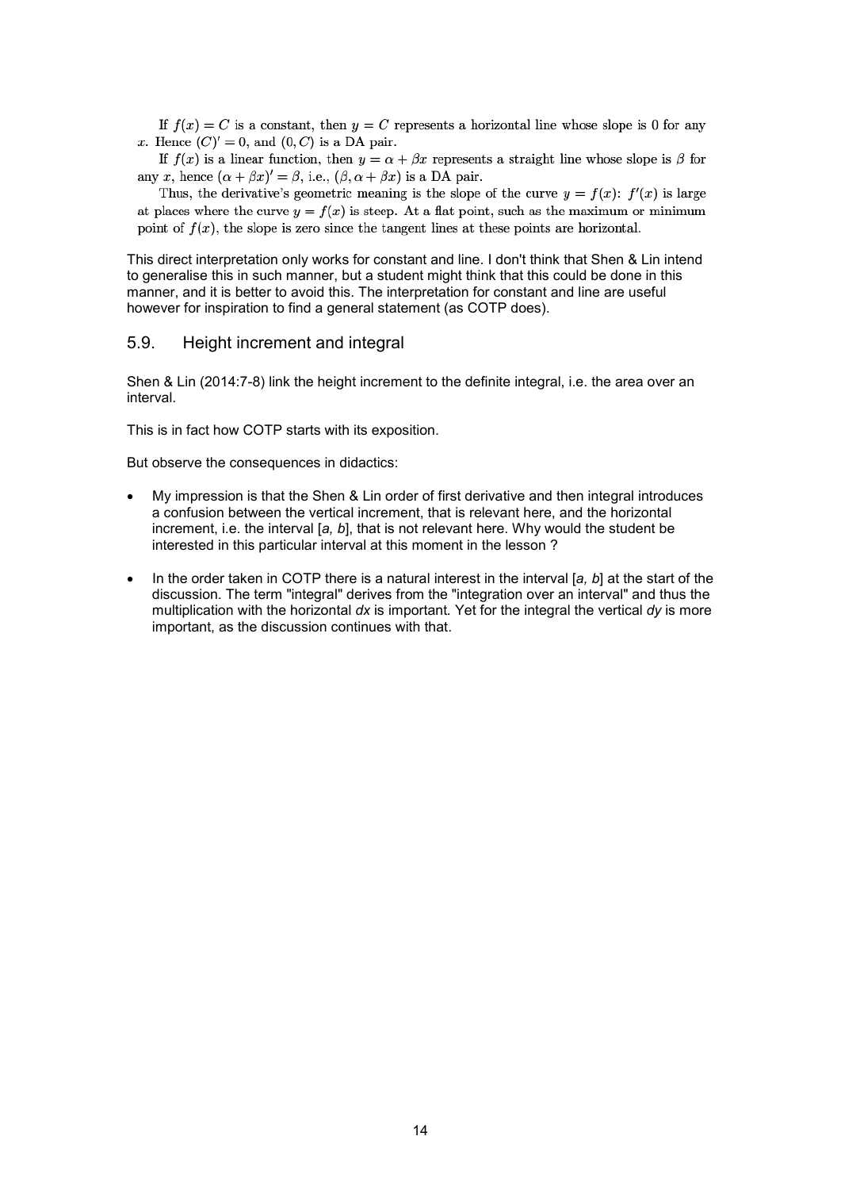If  $f(x) = C$  is a constant, then  $y = C$  represents a horizontal line whose slope is 0 for any x. Hence  $(C)' = 0$ , and  $(0, C)$  is a DA pair.

If  $f(x)$  is a linear function, then  $y = \alpha + \beta x$  represents a straight line whose slope is  $\beta$  for any x, hence  $(\alpha + \beta x)' = \beta$ , i.e.,  $(\beta, \alpha + \beta x)$  is a DA pair.

Thus, the derivative's geometric meaning is the slope of the curve  $y = f(x)$ :  $f'(x)$  is large at places where the curve  $y = f(x)$  is steep. At a flat point, such as the maximum or minimum point of  $f(x)$ , the slope is zero since the tangent lines at these points are horizontal.

This direct interpretation only works for constant and line. I don't think that Shen & Lin intend to generalise this in such manner, but a student might think that this could be done in this manner, and it is better to avoid this. The interpretation for constant and line are useful however for inspiration to find a general statement (as COTP does).

#### 5.9. Height increment and integral

Shen & Lin (2014:7-8) link the height increment to the definite integral, i.e. the area over an interval.

This is in fact how COTP starts with its exposition.

But observe the consequences in didactics:

- My impression is that the Shen & Lin order of first derivative and then integral introduces a confusion between the vertical increment, that is relevant here, and the horizontal increment, i.e. the interval [*a, b*], that is not relevant here. Why would the student be interested in this particular interval at this moment in the lesson ?
- In the order taken in COTP there is a natural interest in the interval [*a, b*] at the start of the discussion. The term "integral" derives from the "integration over an interval" and thus the multiplication with the horizontal *dx* is important*.* Yet for the integral the vertical *dy* is more important, as the discussion continues with that.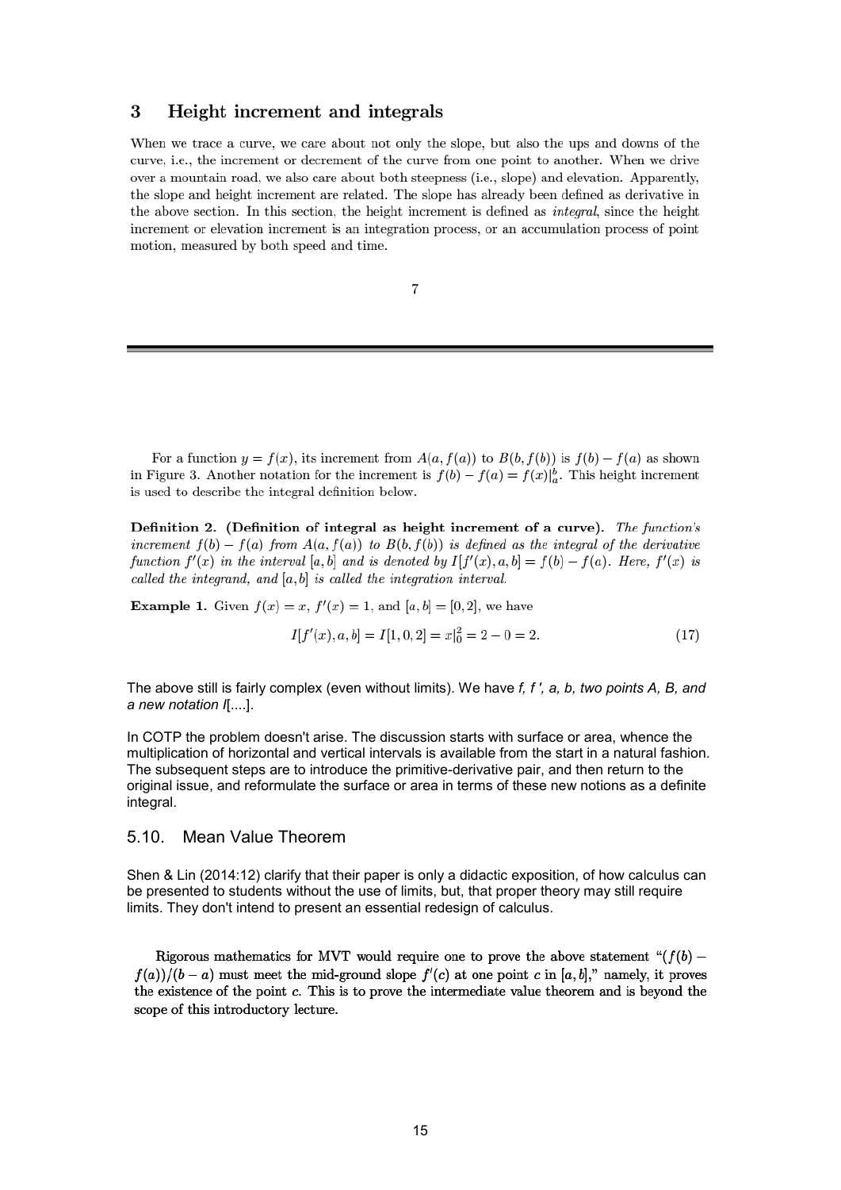#### 3 Height increment and integrals

When we trace a curve, we care about not only the slope, but also the ups and downs of the curve, i.e., the increment or decrement of the curve from one point to another. When we drive over a mountain road, we also care about both steepness (i.e., slope) and elevation. Apparently, the slope and height increment are related. The slope has already been defined as derivative in the above section. In this section, the height increment is defined as *integral*, since the height increment or elevation increment is an integration process, or an accumulation process of point motion, measured by both speed and time.

$$
^{7}
$$

For a function  $y = f(x)$ , its increment from  $A(a, f(a))$  to  $B(b, f(b))$  is  $f(b) - f(a)$  as shown in Figure 3. Another notation for the increment is  $f(b) - f(a) = f(x)|_a^b$ . This height increment is used to describe the integral definition below.

Definition 2. (Definition of integral as height increment of a curve). The function's increment  $f(b) - f(a)$  from  $A(a, f(a))$  to  $B(b, f(b))$  is defined as the integral of the derivative function  $f'(x)$  in the interval [a, b] and is denoted by  $I[f'(x), a, b] = f(b) - f(a)$ . Here,  $f'(x)$  is called the integrand, and  $[a, b]$  is called the integration interval.

**Example 1.** Given  $f(x) = x$ ,  $f'(x) = 1$ , and  $[a, b] = [0, 2]$ , we have

$$
I[f'(x), a, b] = I[1, 0, 2] = x|_0^2 = 2 - 0 = 2.
$$
\n<sup>(17)</sup>

The above still is fairly complex (even without limits). We have *f, f ', a, b, two points A, B, and a new notation I*[....].

In COTP the problem doesn't arise. The discussion starts with surface or area, whence the multiplication of horizontal and vertical intervals is available from the start in a natural fashion. The subsequent steps are to introduce the primitive-derivative pair, and then return to the original issue, and reformulate the surface or area in terms of these new notions as a definite integral.

#### 5.10. Mean Value Theorem

Shen & Lin (2014:12) clarify that their paper is only a didactic exposition, of how calculus can be presented to students without the use of limits, but, that proper theory may still require limits. They don't intend to present an essential redesign of calculus.

Rigorous mathematics for MVT would require one to prove the above statement " $(f(b)$   $f(a)/(b-a)$  must meet the mid-ground slope  $f'(c)$  at one point c in [a, b]," namely, it proves the existence of the point c. This is to prove the intermediate value theorem and is beyond the scope of this introductory lecture.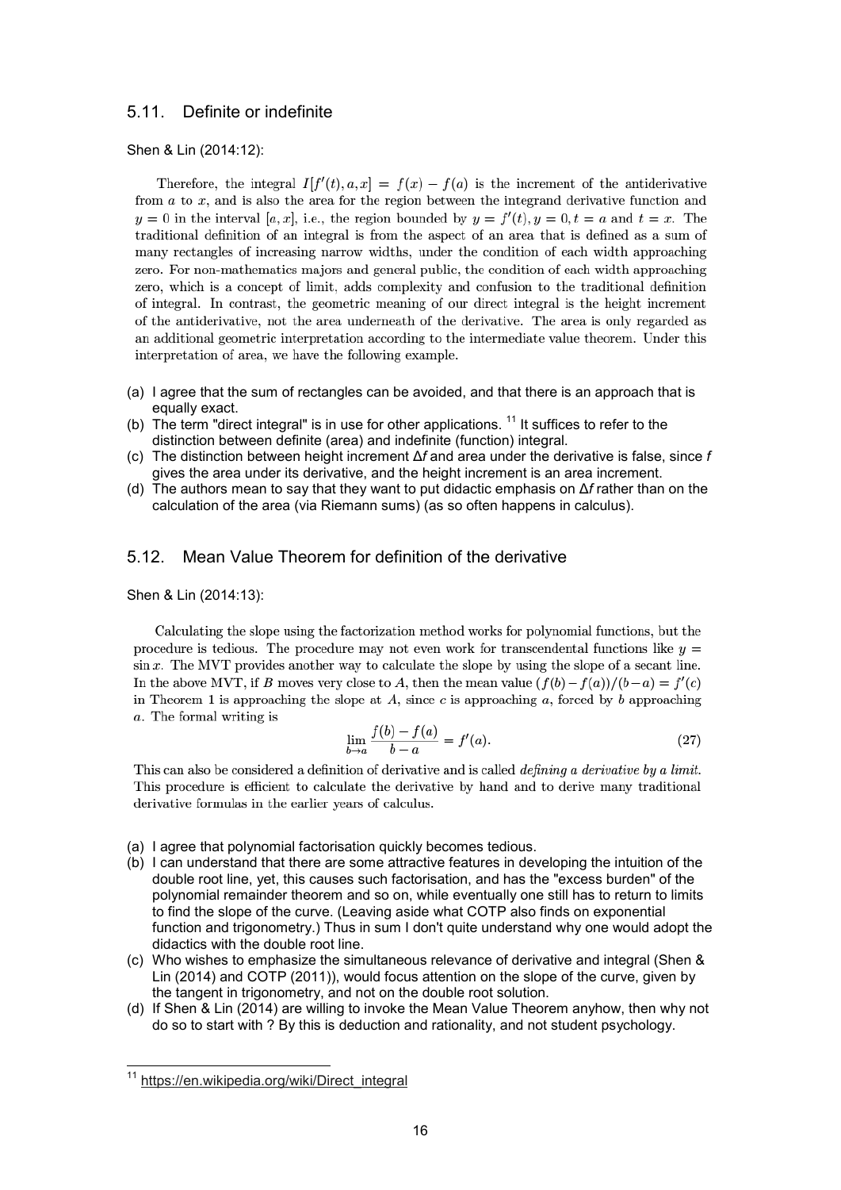#### 5.11. Definite or indefinite

Shen & Lin (2014:12):

Therefore, the integral  $I[f'(t), a, x] = f(x) - f(a)$  is the increment of the antiderivative from  $a$  to  $x$ , and is also the area for the region between the integrand derivative function and  $y = 0$  in the interval [a, x], i.e., the region bounded by  $y = f'(t), y = 0, t = a$  and  $t = x$ . The traditional definition of an integral is from the aspect of an area that is defined as a sum of many rectangles of increasing narrow widths, under the condition of each width approaching zero. For non-mathematics majors and general public, the condition of each width approaching zero, which is a concept of limit, adds complexity and confusion to the traditional definition of integral. In contrast, the geometric meaning of our direct integral is the height increment of the antiderivative, not the area underneath of the derivative. The area is only regarded as an additional geometric interpretation according to the intermediate value theorem. Under this interpretation of area, we have the following example.

- (a) I agree that the sum of rectangles can be avoided, and that there is an approach that is equally exact.
- (b) The term "direct integral" is in use for other applications.  $11$  It suffices to refer to the distinction between definite (area) and indefinite (function) integral.
- (c) The distinction between height increment Δ*f* and area under the derivative is false, since *f* gives the area under its derivative, and the height increment is an area increment.
- (d) The authors mean to say that they want to put didactic emphasis on Δ*f* rather than on the calculation of the area (via Riemann sums) (as so often happens in calculus).

#### 5.12. Mean Value Theorem for definition of the derivative

Shen & Lin (2014:13):

Calculating the slope using the factorization method works for polynomial functions, but the procedure is tedious. The procedure may not even work for transcendental functions like  $y =$  $\sin x$ . The MVT provides another way to calculate the slope by using the slope of a secant line. In the above MVT, if B moves very close to A, then the mean value  $(f(b) - f(a))/(b-a) = f'(c)$ in Theorem 1 is approaching the slope at A, since c is approaching a, forced by b approaching a. The formal writing is

$$
\lim_{b \to a} \frac{f(b) - f(a)}{b - a} = f'(a).
$$
\n(27)

This can also be considered a definition of derivative and is called *defining a derivative by a limit.* This procedure is efficient to calculate the derivative by hand and to derive many traditional derivative formulas in the earlier years of calculus.

- (a) I agree that polynomial factorisation quickly becomes tedious.
- (b) I can understand that there are some attractive features in developing the intuition of the double root line, yet, this causes such factorisation, and has the "excess burden" of the polynomial remainder theorem and so on, while eventually one still has to return to limits to find the slope of the curve. (Leaving aside what COTP also finds on exponential function and trigonometry.) Thus in sum I don't quite understand why one would adopt the didactics with the double root line.
- (c) Who wishes to emphasize the simultaneous relevance of derivative and integral (Shen & Lin (2014) and COTP (2011)), would focus attention on the slope of the curve, given by the tangent in trigonometry, and not on the double root solution.
- (d) If Shen & Lin (2014) are willing to invoke the Mean Value Theorem anyhow, then why not do so to start with ? By this is deduction and rationality, and not student psychology.

j

<sup>&</sup>lt;sup>11</sup> https://en.wikipedia.org/wiki/Direct\_integral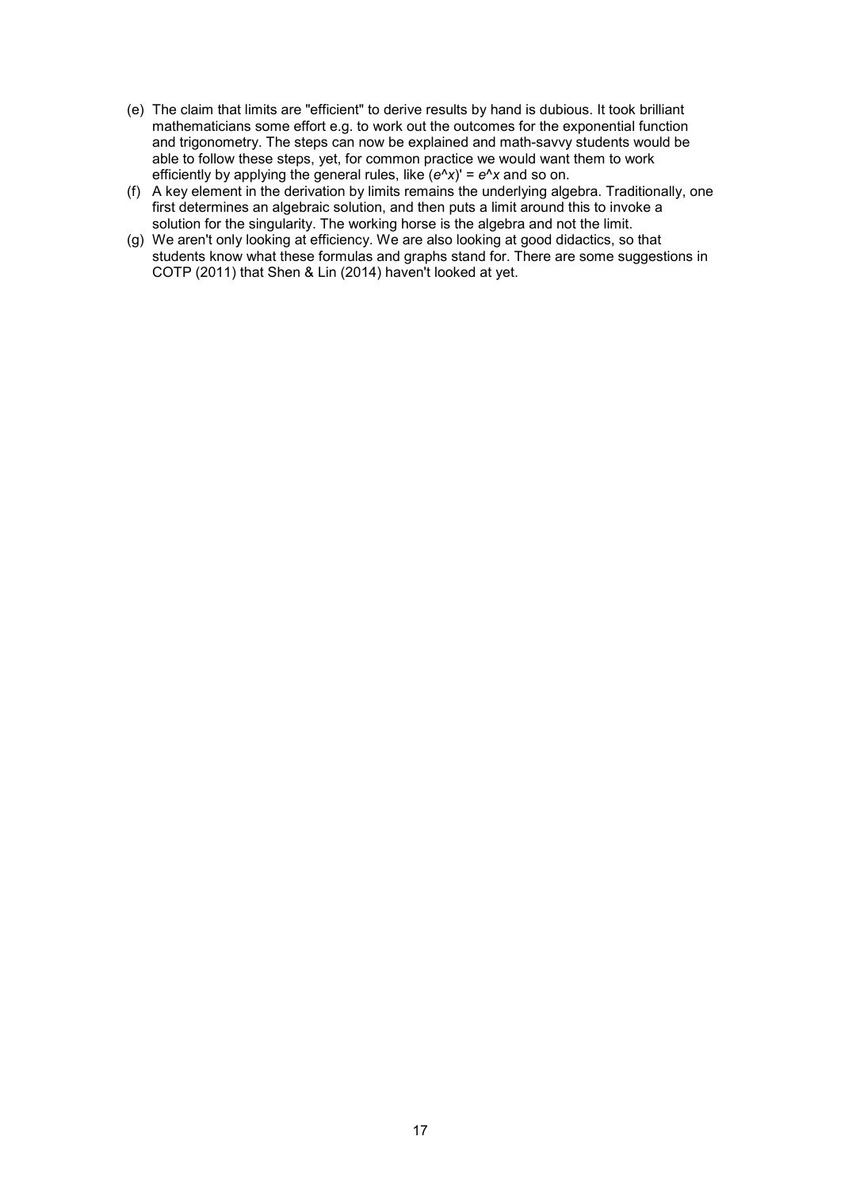- (e) The claim that limits are "efficient" to derive results by hand is dubious. It took brilliant mathematicians some effort e.g. to work out the outcomes for the exponential function and trigonometry. The steps can now be explained and math-savvy students would be able to follow these steps, yet, for common practice we would want them to work efficiently by applying the general rules, like (*e*^*x*)' = *e*^*x* and so on.
- (f) A key element in the derivation by limits remains the underlying algebra. Traditionally, one first determines an algebraic solution, and then puts a limit around this to invoke a solution for the singularity. The working horse is the algebra and not the limit.
- (g) We aren't only looking at efficiency. We are also looking at good didactics, so that students know what these formulas and graphs stand for. There are some suggestions in COTP (2011) that Shen & Lin (2014) haven't looked at yet.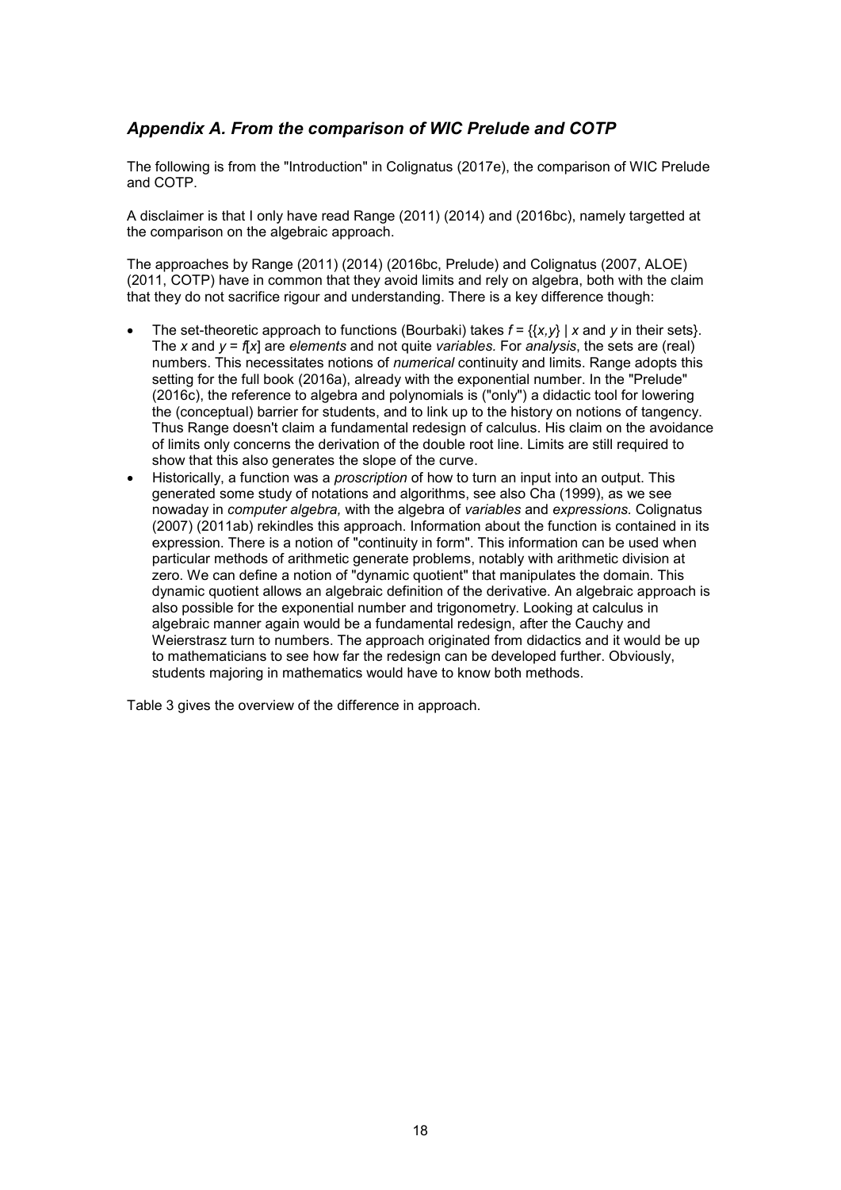# *Appendix A. From the comparison of WIC Prelude and COTP*

The following is from the "Introduction" in Colignatus (2017e), the comparison of WIC Prelude and COTP.

A disclaimer is that I only have read Range (2011) (2014) and (2016bc), namely targetted at the comparison on the algebraic approach.

The approaches by Range (2011) (2014) (2016bc, Prelude) and Colignatus (2007, ALOE) (2011, COTP) have in common that they avoid limits and rely on algebra, both with the claim that they do not sacrifice rigour and understanding. There is a key difference though:

- The set-theoretic approach to functions (Bourbaki) takes  $f = \{ \{x, y\} \mid x \text{ and } y \text{ in their sets} \}.$ The *x* and *y* = *f*[*x*] are *elements* and not quite *variables.* For *analysis*, the sets are (real) numbers. This necessitates notions of *numerical* continuity and limits. Range adopts this setting for the full book (2016a), already with the exponential number. In the "Prelude" (2016c), the reference to algebra and polynomials is ("only") a didactic tool for lowering the (conceptual) barrier for students, and to link up to the history on notions of tangency. Thus Range doesn't claim a fundamental redesign of calculus. His claim on the avoidance of limits only concerns the derivation of the double root line. Limits are still required to show that this also generates the slope of the curve.
- Historically, a function was a *proscription* of how to turn an input into an output. This generated some study of notations and algorithms, see also Cha (1999), as we see nowaday in *computer algebra,* with the algebra of *variables* and *expressions.* Colignatus (2007) (2011ab) rekindles this approach. Information about the function is contained in its expression. There is a notion of "continuity in form". This information can be used when particular methods of arithmetic generate problems, notably with arithmetic division at zero. We can define a notion of "dynamic quotient" that manipulates the domain. This dynamic quotient allows an algebraic definition of the derivative. An algebraic approach is also possible for the exponential number and trigonometry. Looking at calculus in algebraic manner again would be a fundamental redesign, after the Cauchy and Weierstrasz turn to numbers. The approach originated from didactics and it would be up to mathematicians to see how far the redesign can be developed further. Obviously, students majoring in mathematics would have to know both methods.

Table 3 gives the overview of the difference in approach.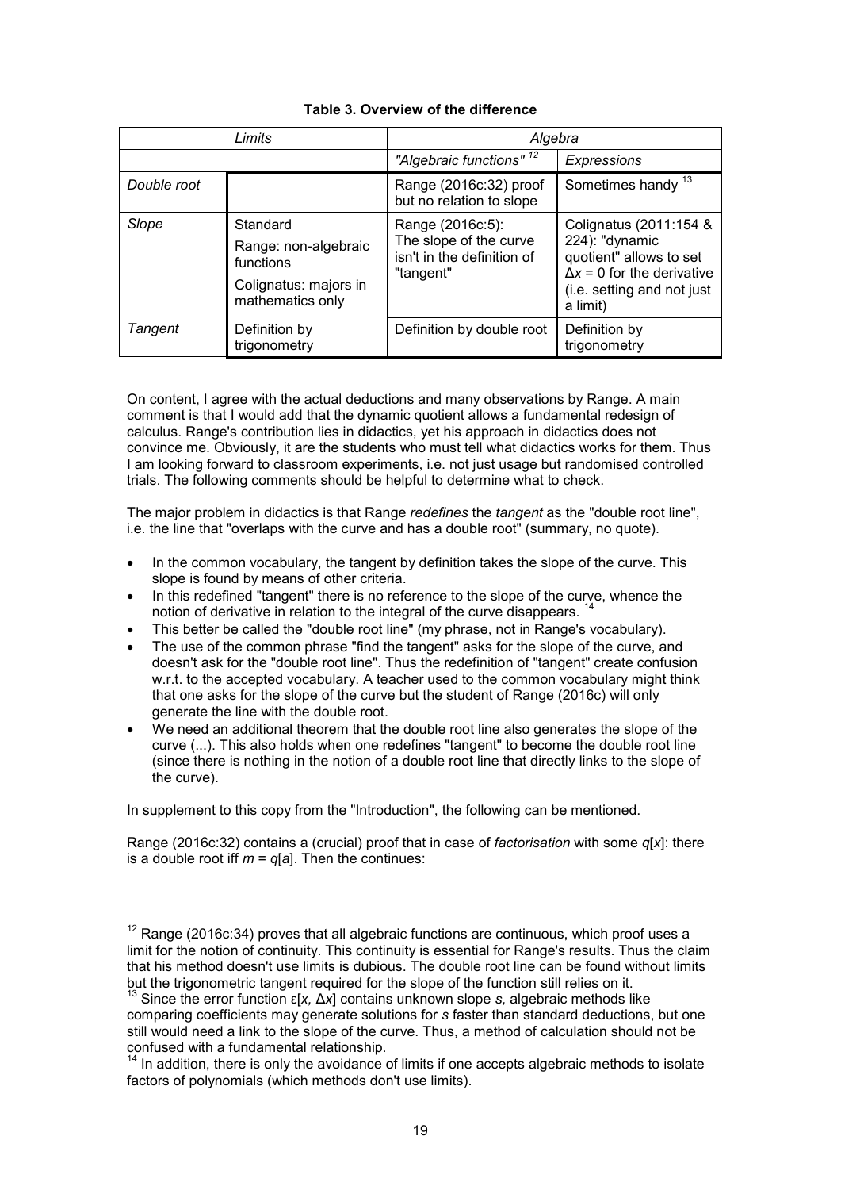|             | Limits                                                                                     | Algebra                                                                               |                                                                                                                                                    |
|-------------|--------------------------------------------------------------------------------------------|---------------------------------------------------------------------------------------|----------------------------------------------------------------------------------------------------------------------------------------------------|
|             |                                                                                            | "Algebraic functions" 12                                                              | <b>Expressions</b>                                                                                                                                 |
| Double root |                                                                                            | Range (2016c:32) proof<br>but no relation to slope                                    | Sometimes handy <sup>13</sup>                                                                                                                      |
| Slope       | Standard<br>Range: non-algebraic<br>functions<br>Colignatus: majors in<br>mathematics only | Range (2016c:5):<br>The slope of the curve<br>isn't in the definition of<br>"tangent" | Colignatus (2011:154 &<br>224): "dynamic<br>quotient" allows to set<br>$\Delta x = 0$ for the derivative<br>(i.e. setting and not just<br>a limit) |
| Tangent     | Definition by<br>trigonometry                                                              | Definition by double root                                                             | Definition by<br>trigonometry                                                                                                                      |

## **Table 3. Overview of the difference**

On content, I agree with the actual deductions and many observations by Range. A main comment is that I would add that the dynamic quotient allows a fundamental redesign of calculus. Range's contribution lies in didactics, yet his approach in didactics does not convince me. Obviously, it are the students who must tell what didactics works for them. Thus I am looking forward to classroom experiments, i.e. not just usage but randomised controlled trials. The following comments should be helpful to determine what to check.

The major problem in didactics is that Range *redefines* the *tangent* as the "double root line", i.e. the line that "overlaps with the curve and has a double root" (summary, no quote).

- In the common vocabulary, the tangent by definition takes the slope of the curve. This slope is found by means of other criteria.
- In this redefined "tangent" there is no reference to the slope of the curve, whence the notion of derivative in relation to the integral of the curve disappears.<sup>14</sup>
- This better be called the "double root line" (my phrase, not in Range's vocabulary).
- The use of the common phrase "find the tangent" asks for the slope of the curve, and doesn't ask for the "double root line". Thus the redefinition of "tangent" create confusion w.r.t. to the accepted vocabulary. A teacher used to the common vocabulary might think that one asks for the slope of the curve but the student of Range (2016c) will only generate the line with the double root.
- We need an additional theorem that the double root line also generates the slope of the curve (...). This also holds when one redefines "tangent" to become the double root line (since there is nothing in the notion of a double root line that directly links to the slope of the curve).

In supplement to this copy from the "Introduction", the following can be mentioned.

 $\overline{a}$ 

Range (2016c:32) contains a (crucial) proof that in case of *factorisation* with some *q*[*x*]: there is a double root iff  $m = q[a]$ . Then the continues:

 $^{12}$  Range (2016c:34) proves that all algebraic functions are continuous, which proof uses a limit for the notion of continuity. This continuity is essential for Range's results. Thus the claim that his method doesn't use limits is dubious. The double root line can be found without limits but the trigonometric tangent required for the slope of the function still relies on it.

<sup>13</sup> Since the error function ε[*x,* Δ*x*] contains unknown slope *s,* algebraic methods like comparing coefficients may generate solutions for *s* faster than standard deductions, but one still would need a link to the slope of the curve. Thus, a method of calculation should not be confused with a fundamental relationship.

 $14$  In addition, there is only the avoidance of limits if one accepts algebraic methods to isolate factors of polynomials (which methods don't use limits).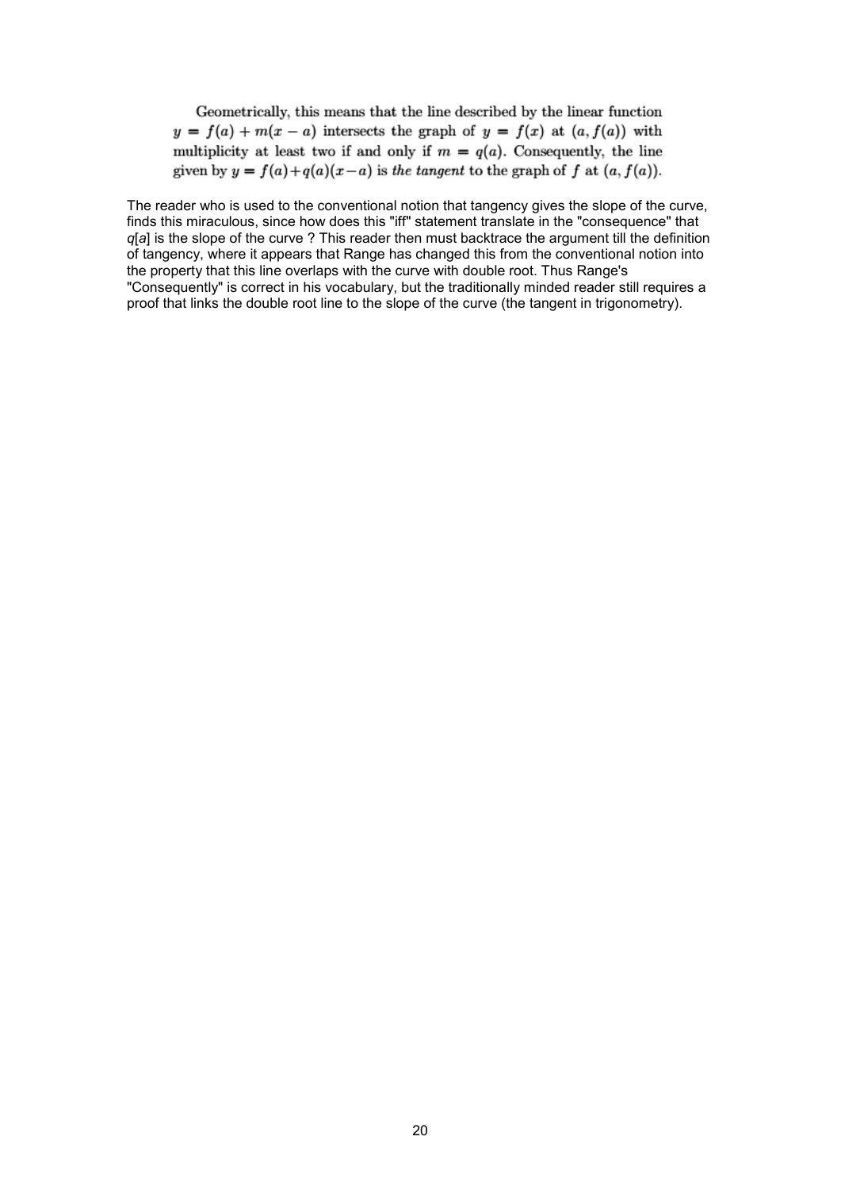Geometrically, this means that the line described by the linear function  $y = f(a) + m(x - a)$  intersects the graph of  $y = f(x)$  at  $(a, f(a))$  with multiplicity at least two if and only if  $m = q(a)$ . Consequently, the line given by  $y = f(a) + q(a)(x - a)$  is the tangent to the graph of f at  $(a, f(a))$ .

The reader who is used to the conventional notion that tangency gives the slope of the curve, finds this miraculous, since how does this "iff" statement translate in the "consequence" that *q*[*a*] is the slope of the curve ? This reader then must backtrace the argument till the definition of tangency, where it appears that Range has changed this from the conventional notion into the property that this line overlaps with the curve with double root. Thus Range's "Consequently" is correct in his vocabulary, but the traditionally minded reader still requires a proof that links the double root line to the slope of the curve (the tangent in trigonometry).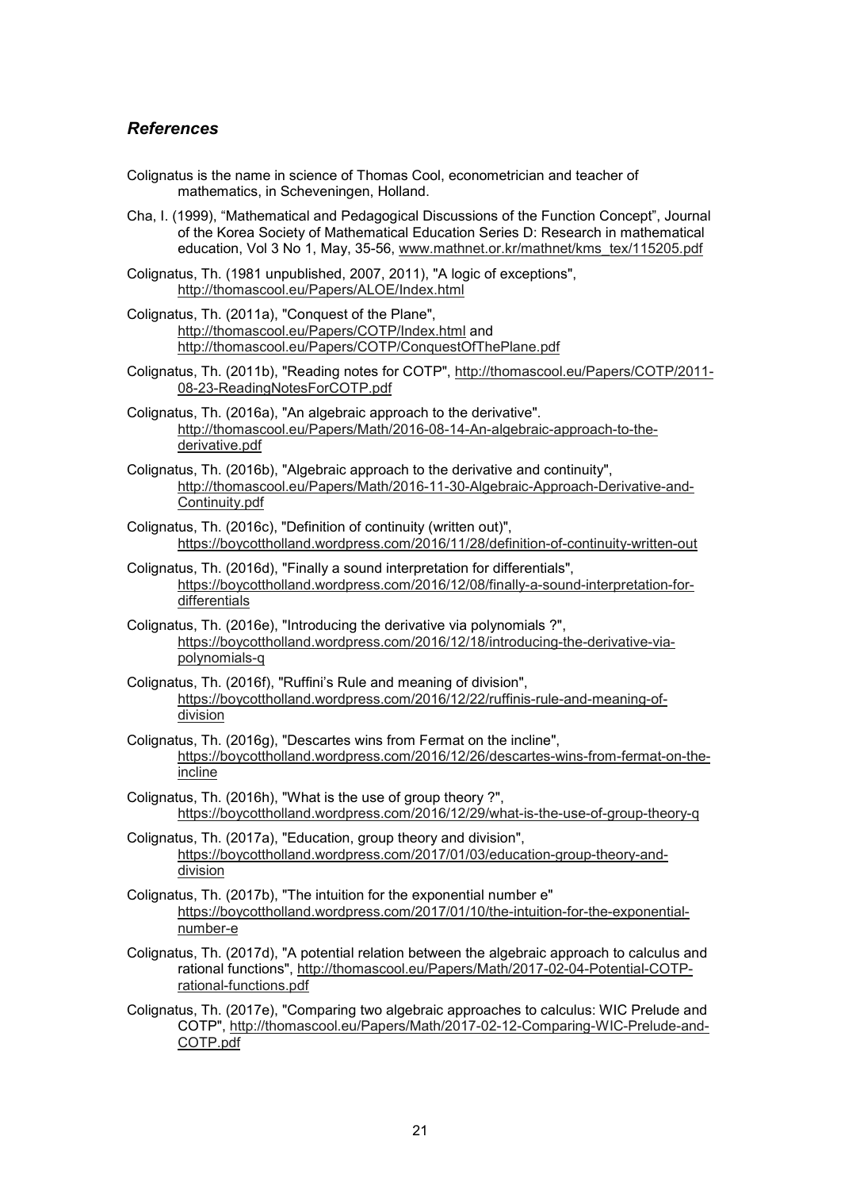#### *References*

- Colignatus is the name in science of Thomas Cool, econometrician and teacher of mathematics, in Scheveningen, Holland.
- Cha, I. (1999), "Mathematical and Pedagogical Discussions of the Function Concept", Journal of the Korea Society of Mathematical Education Series D: Research in mathematical education, Vol 3 No 1, May, 35-56, www.mathnet.or.kr/mathnet/kms\_tex/115205.pdf
- Colignatus, Th. (1981 unpublished, 2007, 2011), "A logic of exceptions", http://thomascool.eu/Papers/ALOE/Index.html
- Colignatus, Th. (2011a), "Conquest of the Plane", http://thomascool.eu/Papers/COTP/Index.html and http://thomascool.eu/Papers/COTP/ConquestOfThePlane.pdf
- Colignatus, Th. (2011b), "Reading notes for COTP", http://thomascool.eu/Papers/COTP/2011- 08-23-ReadingNotesForCOTP.pdf
- Colignatus, Th. (2016a), "An algebraic approach to the derivative". http://thomascool.eu/Papers/Math/2016-08-14-An-algebraic-approach-to-thederivative.pdf
- Colignatus, Th. (2016b), "Algebraic approach to the derivative and continuity", http://thomascool.eu/Papers/Math/2016-11-30-Algebraic-Approach-Derivative-and-Continuity.pdf
- Colignatus, Th. (2016c), "Definition of continuity (written out)", https://boycottholland.wordpress.com/2016/11/28/definition-of-continuity-written-out
- Colignatus, Th. (2016d), "Finally a sound interpretation for differentials", https://boycottholland.wordpress.com/2016/12/08/finally-a-sound-interpretation-fordifferentials
- Colignatus, Th. (2016e), "Introducing the derivative via polynomials ?", https://boycottholland.wordpress.com/2016/12/18/introducing-the-derivative-viapolynomials-q
- Colignatus, Th. (2016f), "Ruffini's Rule and meaning of division", https://boycottholland.wordpress.com/2016/12/22/ruffinis-rule-and-meaning-ofdivision
- Colignatus, Th. (2016g), "Descartes wins from Fermat on the incline", https://boycottholland.wordpress.com/2016/12/26/descartes-wins-from-fermat-on-theincline
- Colignatus, Th. (2016h), "What is the use of group theory ?", https://boycottholland.wordpress.com/2016/12/29/what-is-the-use-of-group-theory-q
- Colignatus, Th. (2017a), "Education, group theory and division", https://boycottholland.wordpress.com/2017/01/03/education-group-theory-anddivision
- Colignatus, Th. (2017b), "The intuition for the exponential number e" https://boycottholland.wordpress.com/2017/01/10/the-intuition-for-the-exponentialnumber-e
- Colignatus, Th. (2017d), "A potential relation between the algebraic approach to calculus and rational functions", http://thomascool.eu/Papers/Math/2017-02-04-Potential-COTPrational-functions.pdf
- Colignatus, Th. (2017e), "Comparing two algebraic approaches to calculus: WIC Prelude and COTP", http://thomascool.eu/Papers/Math/2017-02-12-Comparing-WIC-Prelude-and-COTP.pdf